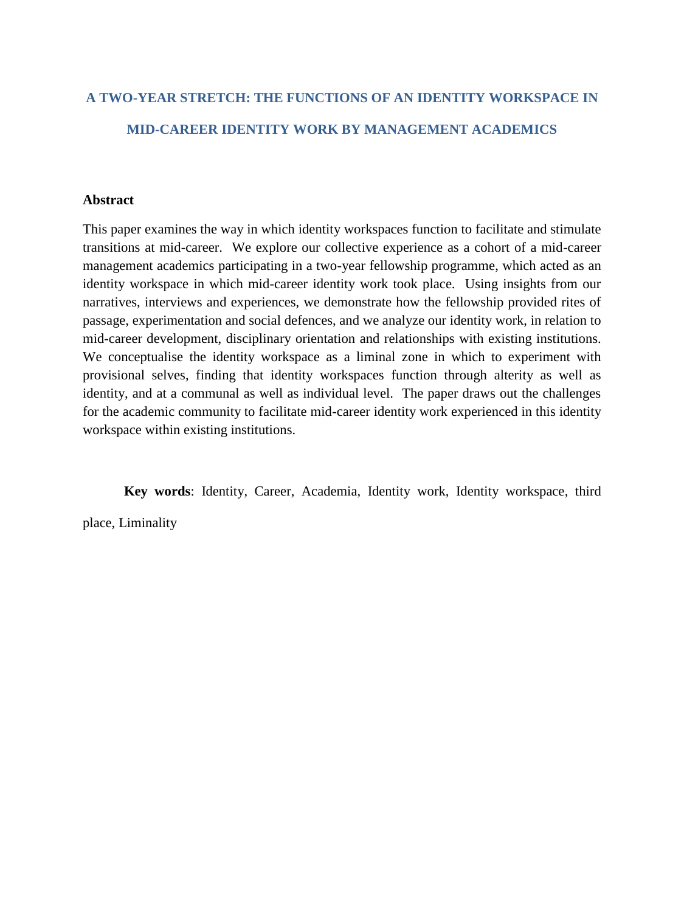# **A TWO-YEAR STRETCH: THE FUNCTIONS OF AN IDENTITY WORKSPACE IN MID-CAREER IDENTITY WORK BY MANAGEMENT ACADEMICS**

# **Abstract**

This paper examines the way in which identity workspaces function to facilitate and stimulate transitions at mid-career. We explore our collective experience as a cohort of a mid-career management academics participating in a two-year fellowship programme, which acted as an identity workspace in which mid-career identity work took place. Using insights from our narratives, interviews and experiences, we demonstrate how the fellowship provided rites of passage, experimentation and social defences, and we analyze our identity work, in relation to mid-career development, disciplinary orientation and relationships with existing institutions. We conceptualise the identity workspace as a liminal zone in which to experiment with provisional selves, finding that identity workspaces function through alterity as well as identity, and at a communal as well as individual level. The paper draws out the challenges for the academic community to facilitate mid-career identity work experienced in this identity workspace within existing institutions.

**Key words**: Identity, Career, Academia, Identity work, Identity workspace, third

place, Liminality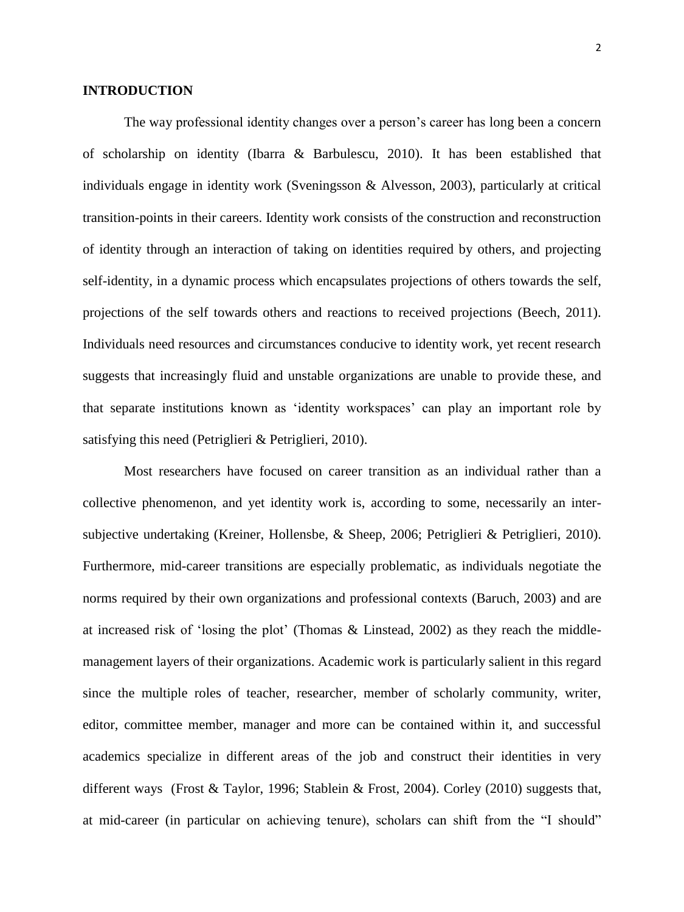# **INTRODUCTION**

The way professional identity changes over a person's career has long been a concern of scholarship on identity [\(Ibarra & Barbulescu, 2010\)](#page-34-0). It has been established that individuals engage in identity work [\(Sveningsson & Alvesson, 2003\)](#page-34-1), particularly at critical transition-points in their careers. Identity work consists of the construction and reconstruction of identity through an interaction of taking on identities required by others, and projecting self-identity, in a dynamic process which encapsulates projections of others towards the self, projections of the self towards others and reactions to received projections [\(Beech, 2011\)](#page-33-0). Individuals need resources and circumstances conducive to identity work, yet recent research suggests that increasingly fluid and unstable organizations are unable to provide these, and that separate institutions known as 'identity workspaces' can play an important role by satisfying this need [\(Petriglieri & Petriglieri, 2010\)](#page-34-2).

Most researchers have focused on career transition as an individual rather than a collective phenomenon, and yet identity work is, according to some, necessarily an intersubjective undertaking [\(Kreiner, Hollensbe, & Sheep, 2006;](#page-34-3) [Petriglieri & Petriglieri, 2010\)](#page-34-2). Furthermore, mid-career transitions are especially problematic, as individuals negotiate the norms required by their own organizations and professional contexts [\(Baruch, 2003\)](#page-33-1) and are at increased risk of 'losing the plot' [\(Thomas & Linstead, 2002\)](#page-34-4) as they reach the middlemanagement layers of their organizations. Academic work is particularly salient in this regard since the multiple roles of teacher, researcher, member of scholarly community, writer, editor, committee member, manager and more can be contained within it, and successful academics specialize in different areas of the job and construct their identities in very different ways [\(Frost & Taylor, 1996;](#page-34-5) [Stablein & Frost, 2004\)](#page-34-6). Corley [\(2010\)](#page-33-2) suggests that, at mid-career (in particular on achieving tenure), scholars can shift from the "I should"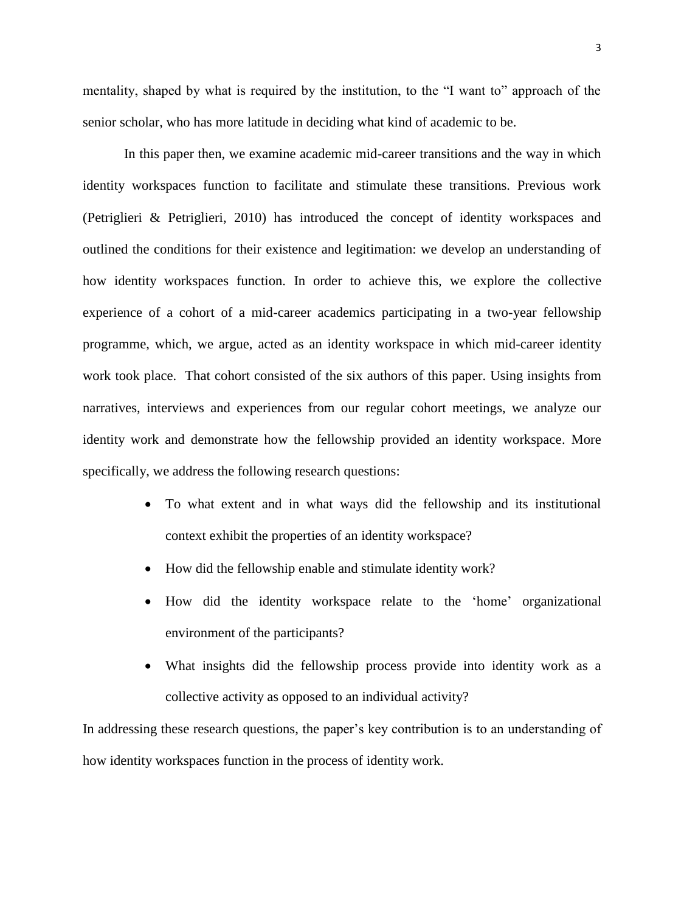mentality, shaped by what is required by the institution, to the "I want to" approach of the senior scholar, who has more latitude in deciding what kind of academic to be.

In this paper then, we examine academic mid-career transitions and the way in which identity workspaces function to facilitate and stimulate these transitions. Previous work [\(Petriglieri & Petriglieri, 2010\)](#page-34-2) has introduced the concept of identity workspaces and outlined the conditions for their existence and legitimation: we develop an understanding of how identity workspaces function. In order to achieve this, we explore the collective experience of a cohort of a mid-career academics participating in a two-year fellowship programme, which, we argue, acted as an identity workspace in which mid-career identity work took place. That cohort consisted of the six authors of this paper. Using insights from narratives, interviews and experiences from our regular cohort meetings, we analyze our identity work and demonstrate how the fellowship provided an identity workspace. More specifically, we address the following research questions:

- To what extent and in what ways did the fellowship and its institutional context exhibit the properties of an identity workspace?
- How did the fellowship enable and stimulate identity work?
- How did the identity workspace relate to the 'home' organizational environment of the participants?
- What insights did the fellowship process provide into identity work as a collective activity as opposed to an individual activity?

In addressing these research questions, the paper's key contribution is to an understanding of how identity workspaces function in the process of identity work.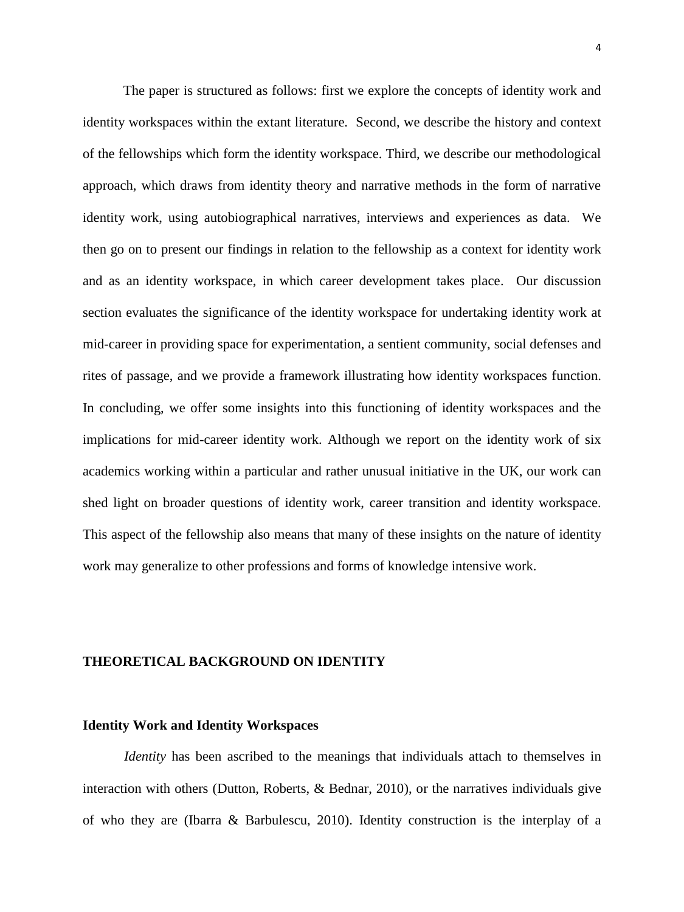The paper is structured as follows: first we explore the concepts of identity work and identity workspaces within the extant literature. Second, we describe the history and context of the fellowships which form the identity workspace. Third, we describe our methodological approach, which draws from identity theory and narrative methods in the form of narrative identity work, using autobiographical narratives, interviews and experiences as data. We then go on to present our findings in relation to the fellowship as a context for identity work and as an identity workspace, in which career development takes place. Our discussion section evaluates the significance of the identity workspace for undertaking identity work at mid-career in providing space for experimentation, a sentient community, social defenses and rites of passage, and we provide a framework illustrating how identity workspaces function. In concluding, we offer some insights into this functioning of identity workspaces and the implications for mid-career identity work. Although we report on the identity work of six academics working within a particular and rather unusual initiative in the UK, our work can shed light on broader questions of identity work, career transition and identity workspace. This aspect of the fellowship also means that many of these insights on the nature of identity work may generalize to other professions and forms of knowledge intensive work.

# **THEORETICAL BACKGROUND ON IDENTITY**

## **Identity Work and Identity Workspaces**

*Identity* has been ascribed to the meanings that individuals attach to themselves in interaction with others [\(Dutton, Roberts, & Bednar, 2010\)](#page-33-3), or the narratives individuals give of who they are [\(Ibarra & Barbulescu, 2010\)](#page-34-0). Identity construction is the interplay of a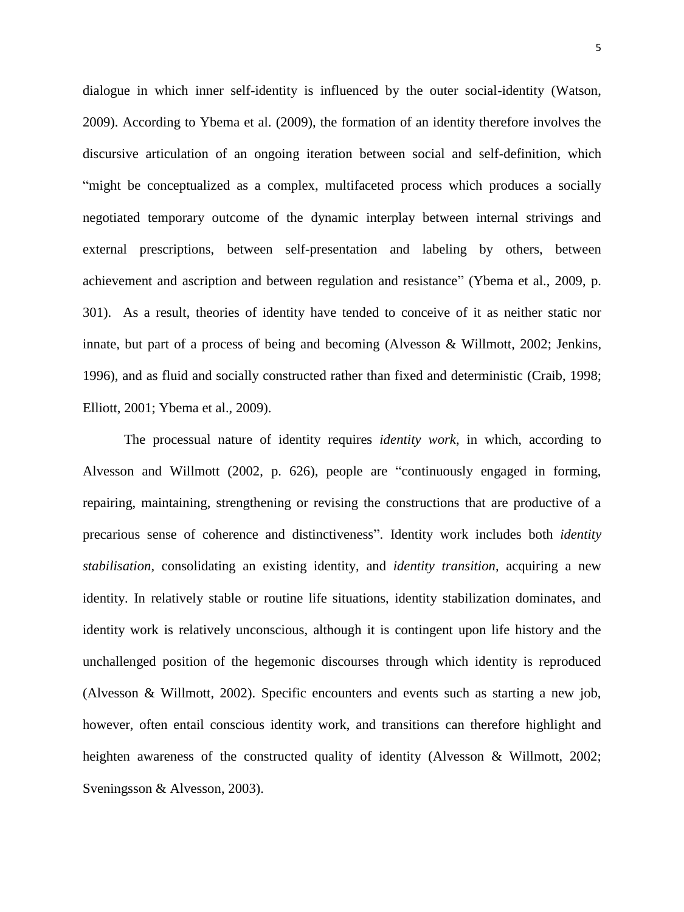dialogue in which inner self-identity is influenced by the outer social-identity [\(Watson,](#page-35-0)  [2009\)](#page-35-0). According to Ybema et al. [\(2009\)](#page-35-1), the formation of an identity therefore involves the discursive articulation of an ongoing iteration between social and self-definition, which "might be conceptualized as a complex, multifaceted process which produces a socially negotiated temporary outcome of the dynamic interplay between internal strivings and external prescriptions, between self-presentation and labeling by others, between achievement and ascription and between regulation and resistance" [\(Ybema et al., 2009, p.](#page-35-1)  [301\)](#page-35-1). As a result, theories of identity have tended to conceive of it as neither static nor innate, but part of a process of being and becoming [\(Alvesson & Willmott, 2002;](#page-33-4) [Jenkins,](#page-34-7)  [1996\)](#page-34-7), and as fluid and socially constructed rather than fixed and deterministic [\(Craib, 1998;](#page-33-5) [Elliott, 2001;](#page-33-6) [Ybema et al., 2009\)](#page-35-1).

The processual nature of identity requires *identity work*, in which, according to Alvesson and Willmott [\(2002, p. 626\)](#page-33-4), people are "continuously engaged in forming, repairing, maintaining, strengthening or revising the constructions that are productive of a precarious sense of coherence and distinctiveness". Identity work includes both *identity stabilisation*, consolidating an existing identity, and *identity transition*, acquiring a new identity. In relatively stable or routine life situations, identity stabilization dominates, and identity work is relatively unconscious, although it is contingent upon life history and the unchallenged position of the hegemonic discourses through which identity is reproduced [\(Alvesson & Willmott, 2002\)](#page-33-4). Specific encounters and events such as starting a new job, however, often entail conscious identity work, and transitions can therefore highlight and heighten awareness of the constructed quality of identity [\(Alvesson & Willmott, 2002;](#page-33-4) [Sveningsson & Alvesson, 2003\)](#page-34-1).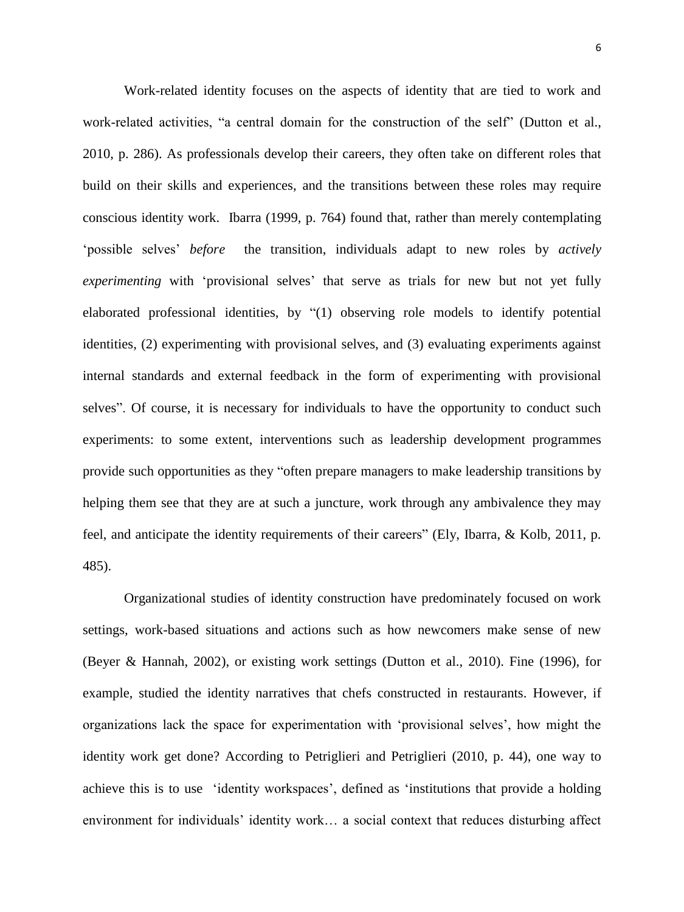Work-related identity focuses on the aspects of identity that are tied to work and work-related activities, "a central domain for the construction of the self" [\(Dutton et al.,](#page-33-3)  [2010, p. 286\)](#page-33-3). As professionals develop their careers, they often take on different roles that build on their skills and experiences, and the transitions between these roles may require conscious identity work. Ibarra [\(1999, p. 764\)](#page-34-8) found that, rather than merely contemplating 'possible selves' *before* the transition, individuals adapt to new roles by *actively experimenting* with 'provisional selves' that serve as trials for new but not yet fully elaborated professional identities, by "(1) observing role models to identify potential identities, (2) experimenting with provisional selves, and (3) evaluating experiments against internal standards and external feedback in the form of experimenting with provisional selves". Of course, it is necessary for individuals to have the opportunity to conduct such experiments: to some extent, interventions such as leadership development programmes provide such opportunities as they "often prepare managers to make leadership transitions by helping them see that they are at such a juncture, work through any ambivalence they may feel, and anticipate the identity requirements of their careers" [\(Ely, Ibarra, & Kolb, 2011, p.](#page-34-9)  [485\)](#page-34-9).

Organizational studies of identity construction have predominately focused on work settings, work-based situations and actions such as how newcomers make sense of new [\(Beyer & Hannah, 2002\)](#page-33-7), or existing work settings [\(Dutton et al., 2010\)](#page-33-3). Fine [\(1996\)](#page-34-10), for example, studied the identity narratives that chefs constructed in restaurants. However, if organizations lack the space for experimentation with 'provisional selves', how might the identity work get done? According to Petriglieri and Petriglieri [\(2010, p. 44\)](#page-34-2), one way to achieve this is to use 'identity workspaces', defined as 'institutions that provide a holding environment for individuals' identity work… a social context that reduces disturbing affect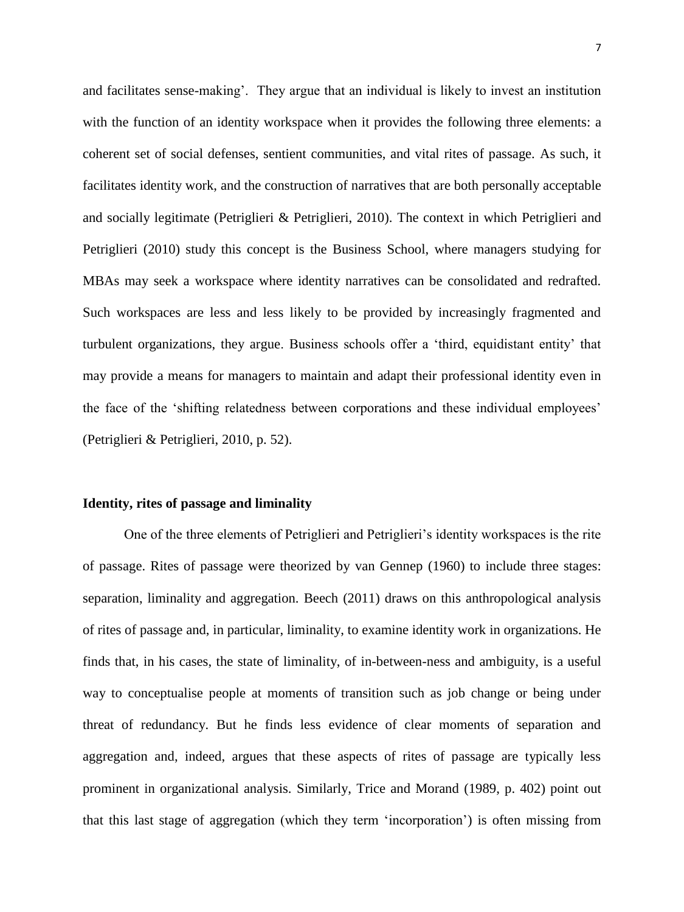and facilitates sense-making'. They argue that an individual is likely to invest an institution with the function of an identity workspace when it provides the following three elements: a coherent set of social defenses, sentient communities, and vital rites of passage. As such, it facilitates identity work, and the construction of narratives that are both personally acceptable and socially legitimate (Petriglieri & Petriglieri, 2010). The context in which Petriglieri and Petriglieri [\(2010\)](#page-34-2) study this concept is the Business School, where managers studying for MBAs may seek a workspace where identity narratives can be consolidated and redrafted. Such workspaces are less and less likely to be provided by increasingly fragmented and turbulent organizations, they argue. Business schools offer a 'third, equidistant entity' that may provide a means for managers to maintain and adapt their professional identity even in the face of the 'shifting relatedness between corporations and these individual employees' [\(Petriglieri & Petriglieri, 2010, p. 52\)](#page-34-2).

## **Identity, rites of passage and liminality**

One of the three elements of Petriglieri and Petriglieri's identity workspaces is the rite of passage. Rites of passage were theorized by van Gennep [\(1960\)](#page-35-2) to include three stages: separation, liminality and aggregation. Beech [\(2011\)](#page-33-0) draws on this anthropological analysis of rites of passage and, in particular, liminality, to examine identity work in organizations. He finds that, in his cases, the state of liminality, of in-between-ness and ambiguity, is a useful way to conceptualise people at moments of transition such as job change or being under threat of redundancy. But he finds less evidence of clear moments of separation and aggregation and, indeed, argues that these aspects of rites of passage are typically less prominent in organizational analysis. Similarly, Trice and Morand [\(1989, p. 402\)](#page-35-3) point out that this last stage of aggregation (which they term 'incorporation') is often missing from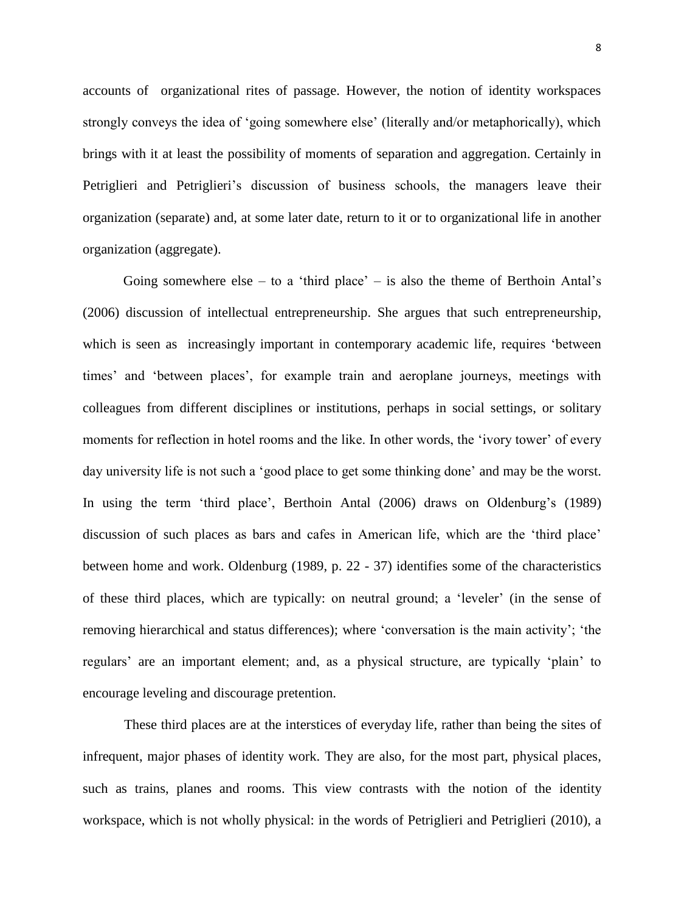accounts of organizational rites of passage. However, the notion of identity workspaces strongly conveys the idea of 'going somewhere else' (literally and/or metaphorically), which brings with it at least the possibility of moments of separation and aggregation. Certainly in Petriglieri and Petriglieri's discussion of business schools, the managers leave their organization (separate) and, at some later date, return to it or to organizational life in another organization (aggregate).

Going somewhere else – to a 'third place' – is also the theme of Berthoin Antal's [\(2006\)](#page-33-8) discussion of intellectual entrepreneurship. She argues that such entrepreneurship, which is seen as increasingly important in contemporary academic life, requires 'between times' and 'between places', for example train and aeroplane journeys, meetings with colleagues from different disciplines or institutions, perhaps in social settings, or solitary moments for reflection in hotel rooms and the like. In other words, the 'ivory tower' of every day university life is not such a 'good place to get some thinking done' and may be the worst. In using the term 'third place', Berthoin Antal [\(2006\)](#page-33-8) draws on Oldenburg's [\(1989\)](#page-34-11) discussion of such places as bars and cafes in American life, which are the 'third place' between home and work. Oldenburg [\(1989, p. 22 -](#page-34-11) 37) identifies some of the characteristics of these third places, which are typically: on neutral ground; a 'leveler' (in the sense of removing hierarchical and status differences); where 'conversation is the main activity'; 'the regulars' are an important element; and, as a physical structure, are typically 'plain' to encourage leveling and discourage pretention.

These third places are at the interstices of everyday life, rather than being the sites of infrequent, major phases of identity work. They are also, for the most part, physical places, such as trains, planes and rooms. This view contrasts with the notion of the identity workspace, which is not wholly physical: in the words of Petriglieri and Petriglieri [\(2010\)](#page-34-2), a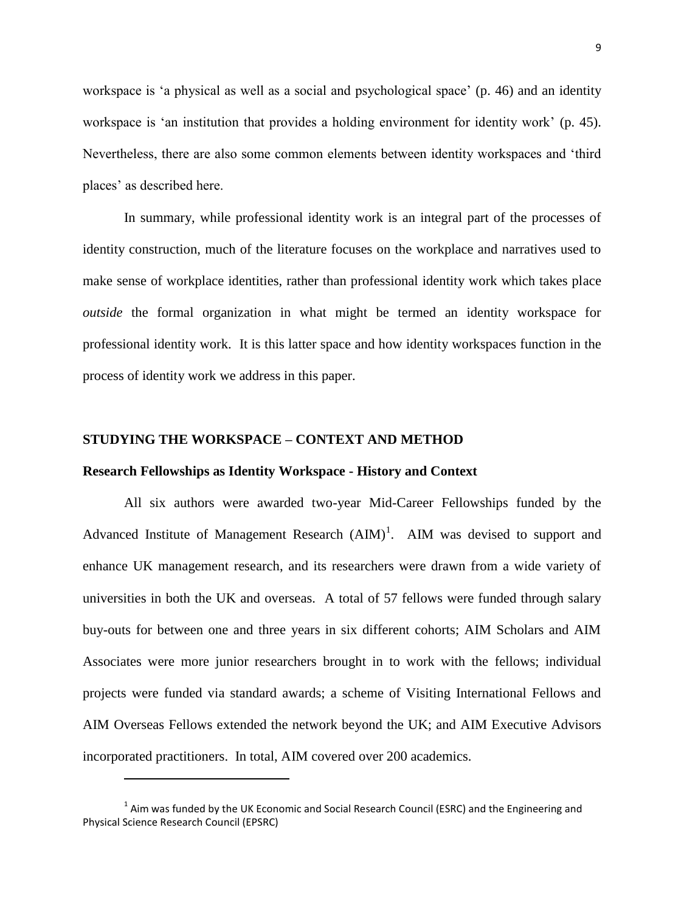workspace is 'a physical as well as a social and psychological space' (p. 46) and an identity workspace is 'an institution that provides a holding environment for identity work' (p. 45). Nevertheless, there are also some common elements between identity workspaces and 'third places' as described here.

In summary, while professional identity work is an integral part of the processes of identity construction, much of the literature focuses on the workplace and narratives used to make sense of workplace identities, rather than professional identity work which takes place *outside* the formal organization in what might be termed an identity workspace for professional identity work. It is this latter space and how identity workspaces function in the process of identity work we address in this paper.

# **STUDYING THE WORKSPACE – CONTEXT AND METHOD**

# **Research Fellowships as Identity Workspace - History and Context**

All six authors were awarded two-year Mid-Career Fellowships funded by the Advanced Institute of Management Research  $(AIM)^1$ . AIM was devised to support and enhance UK management research, and its researchers were drawn from a wide variety of universities in both the UK and overseas. A total of 57 fellows were funded through salary buy-outs for between one and three years in six different cohorts; AIM Scholars and AIM Associates were more junior researchers brought in to work with the fellows; individual projects were funded via standard awards; a scheme of Visiting International Fellows and AIM Overseas Fellows extended the network beyond the UK; and AIM Executive Advisors incorporated practitioners. In total, AIM covered over 200 academics.

1

 $1$  Aim was funded by the UK Economic and Social Research Council (ESRC) and the Engineering and Physical Science Research Council (EPSRC)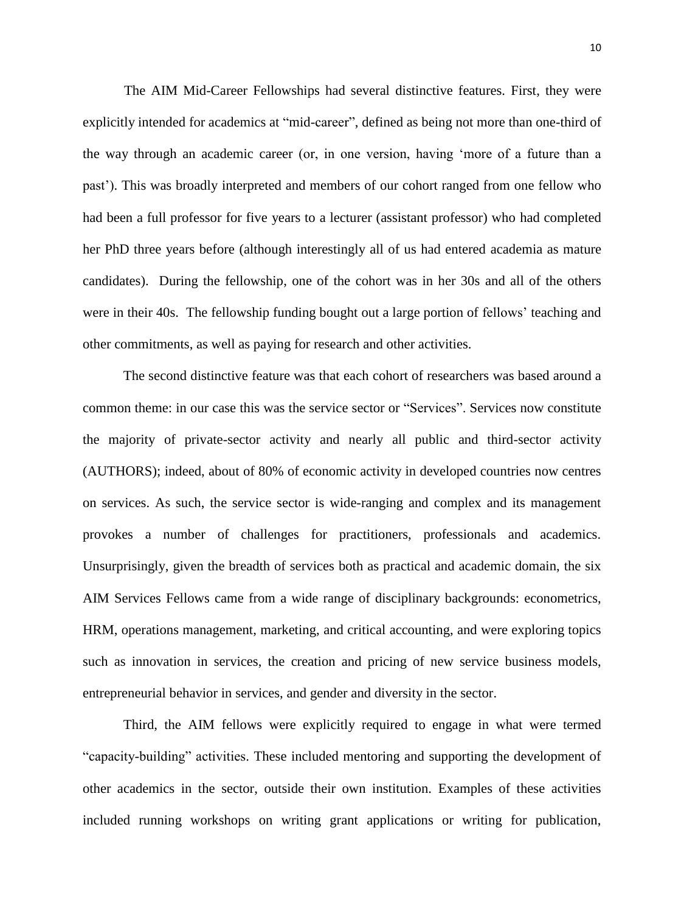The AIM Mid-Career Fellowships had several distinctive features. First, they were explicitly intended for academics at "mid-career", defined as being not more than one-third of the way through an academic career (or, in one version, having 'more of a future than a past'). This was broadly interpreted and members of our cohort ranged from one fellow who had been a full professor for five years to a lecturer (assistant professor) who had completed her PhD three years before (although interestingly all of us had entered academia as mature candidates). During the fellowship, one of the cohort was in her 30s and all of the others were in their 40s. The fellowship funding bought out a large portion of fellows' teaching and other commitments, as well as paying for research and other activities.

The second distinctive feature was that each cohort of researchers was based around a common theme: in our case this was the service sector or "Services". Services now constitute the majority of private-sector activity and nearly all public and third-sector activity (AUTHORS); indeed, about of 80% of economic activity in developed countries now centres on services. As such, the service sector is wide-ranging and complex and its management provokes a number of challenges for practitioners, professionals and academics. Unsurprisingly, given the breadth of services both as practical and academic domain, the six AIM Services Fellows came from a wide range of disciplinary backgrounds: econometrics, HRM, operations management, marketing, and critical accounting, and were exploring topics such as innovation in services, the creation and pricing of new service business models, entrepreneurial behavior in services, and gender and diversity in the sector.

Third, the AIM fellows were explicitly required to engage in what were termed "capacity-building" activities. These included mentoring and supporting the development of other academics in the sector, outside their own institution. Examples of these activities included running workshops on writing grant applications or writing for publication,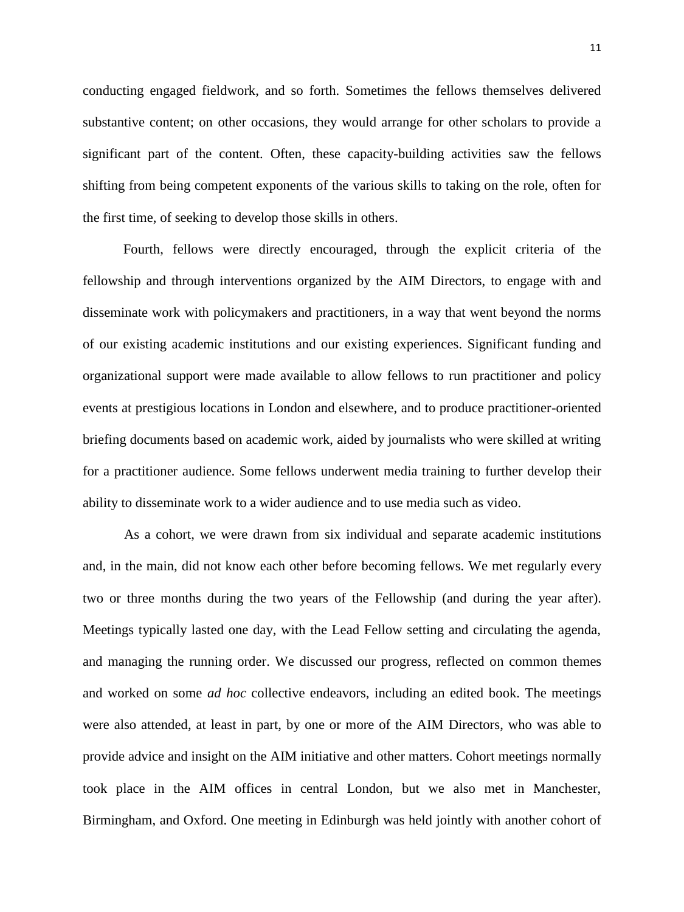conducting engaged fieldwork, and so forth. Sometimes the fellows themselves delivered substantive content; on other occasions, they would arrange for other scholars to provide a significant part of the content. Often, these capacity-building activities saw the fellows shifting from being competent exponents of the various skills to taking on the role, often for the first time, of seeking to develop those skills in others.

Fourth, fellows were directly encouraged, through the explicit criteria of the fellowship and through interventions organized by the AIM Directors, to engage with and disseminate work with policymakers and practitioners, in a way that went beyond the norms of our existing academic institutions and our existing experiences. Significant funding and organizational support were made available to allow fellows to run practitioner and policy events at prestigious locations in London and elsewhere, and to produce practitioner-oriented briefing documents based on academic work, aided by journalists who were skilled at writing for a practitioner audience. Some fellows underwent media training to further develop their ability to disseminate work to a wider audience and to use media such as video.

As a cohort, we were drawn from six individual and separate academic institutions and, in the main, did not know each other before becoming fellows. We met regularly every two or three months during the two years of the Fellowship (and during the year after). Meetings typically lasted one day, with the Lead Fellow setting and circulating the agenda, and managing the running order. We discussed our progress, reflected on common themes and worked on some *ad hoc* collective endeavors, including an edited book. The meetings were also attended, at least in part, by one or more of the AIM Directors, who was able to provide advice and insight on the AIM initiative and other matters. Cohort meetings normally took place in the AIM offices in central London, but we also met in Manchester, Birmingham, and Oxford. One meeting in Edinburgh was held jointly with another cohort of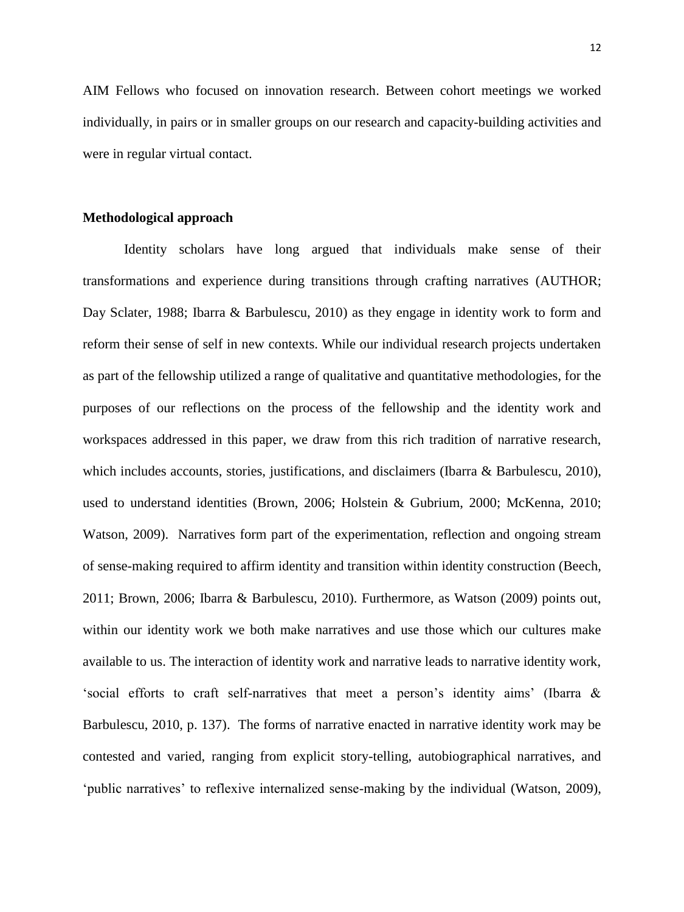AIM Fellows who focused on innovation research. Between cohort meetings we worked individually, in pairs or in smaller groups on our research and capacity-building activities and were in regular virtual contact.

#### **Methodological approach**

Identity scholars have long argued that individuals make sense of their transformations and experience during transitions through crafting narratives (AUTHOR; [Day Sclater, 1988;](#page-33-9) [Ibarra & Barbulescu, 2010\)](#page-34-0) as they engage in identity work to form and reform their sense of self in new contexts. While our individual research projects undertaken as part of the fellowship utilized a range of qualitative and quantitative methodologies, for the purposes of our reflections on the process of the fellowship and the identity work and workspaces addressed in this paper, we draw from this rich tradition of narrative research, which includes accounts, stories, justifications, and disclaimers [\(Ibarra & Barbulescu, 2010\)](#page-34-0), used to understand identities [\(Brown, 2006;](#page-33-10) [Holstein & Gubrium, 2000;](#page-34-12) [McKenna, 2010;](#page-34-13) [Watson, 2009\)](#page-35-0). Narratives form part of the experimentation, reflection and ongoing stream of sense-making required to affirm identity and transition within identity construction (Beech, 2011; Brown, 2006; Ibarra & Barbulescu, 2010). Furthermore, as Watson (2009) points out, within our identity work we both make narratives and use those which our cultures make available to us. The interaction of identity work and narrative leads to narrative identity work, 'social efforts to craft self-narratives that meet a person's identity aims' (Ibarra & Barbulescu, 2010, p. 137). The forms of narrative enacted in narrative identity work may be contested and varied, ranging from explicit story-telling, autobiographical narratives, and 'public narratives' to reflexive internalized sense-making by the individual (Watson, 2009),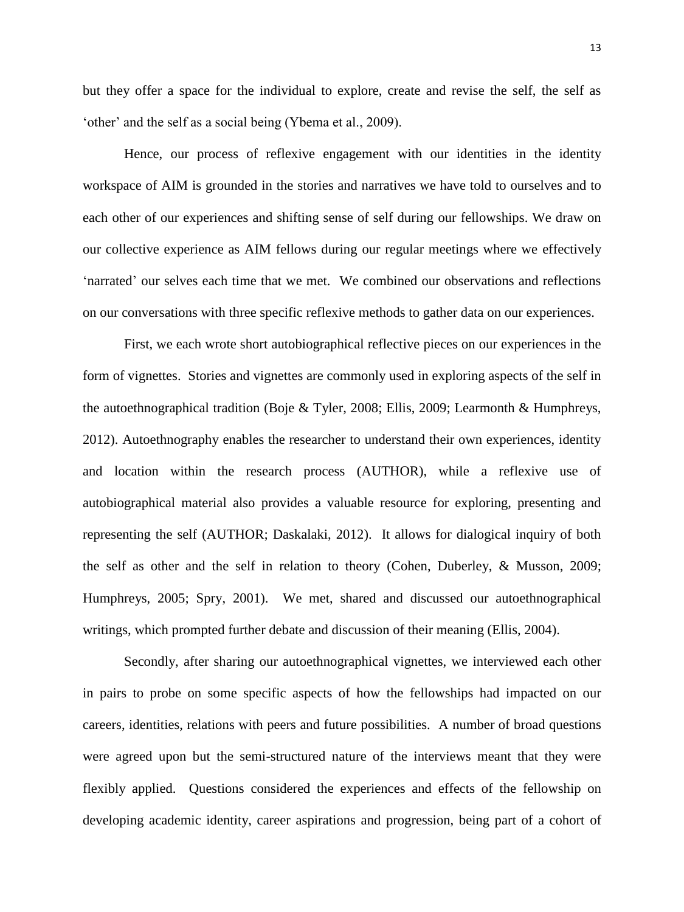but they offer a space for the individual to explore, create and revise the self, the self as 'other' and the self as a social being (Ybema et al., 2009).

Hence, our process of reflexive engagement with our identities in the identity workspace of AIM is grounded in the stories and narratives we have told to ourselves and to each other of our experiences and shifting sense of self during our fellowships. We draw on our collective experience as AIM fellows during our regular meetings where we effectively 'narrated' our selves each time that we met. We combined our observations and reflections on our conversations with three specific reflexive methods to gather data on our experiences.

First, we each wrote short autobiographical reflective pieces on our experiences in the form of vignettes. Stories and vignettes are commonly used in exploring aspects of the self in the autoethnographical tradition [\(Boje & Tyler, 2008;](#page-33-11) [Ellis, 2009;](#page-33-12) [Learmonth & Humphreys,](#page-34-14)  [2012\)](#page-34-14). Autoethnography enables the researcher to understand their own experiences, identity and location within the research process (AUTHOR), while a reflexive use of autobiographical material also provides a valuable resource for exploring, presenting and representing the self [\(AUTHOR; Daskalaki, 2012\)](#page-33-13). It allows for dialogical inquiry of both the self as other and the self in relation to theory [\(Cohen, Duberley, & Musson, 2009;](#page-33-14) [Humphreys, 2005;](#page-34-15) [Spry, 2001\)](#page-34-16). We met, shared and discussed our autoethnographical writings, which prompted further debate and discussion of their meaning [\(Ellis, 2004\)](#page-33-15).

Secondly, after sharing our autoethnographical vignettes, we interviewed each other in pairs to probe on some specific aspects of how the fellowships had impacted on our careers, identities, relations with peers and future possibilities. A number of broad questions were agreed upon but the semi-structured nature of the interviews meant that they were flexibly applied. Questions considered the experiences and effects of the fellowship on developing academic identity, career aspirations and progression, being part of a cohort of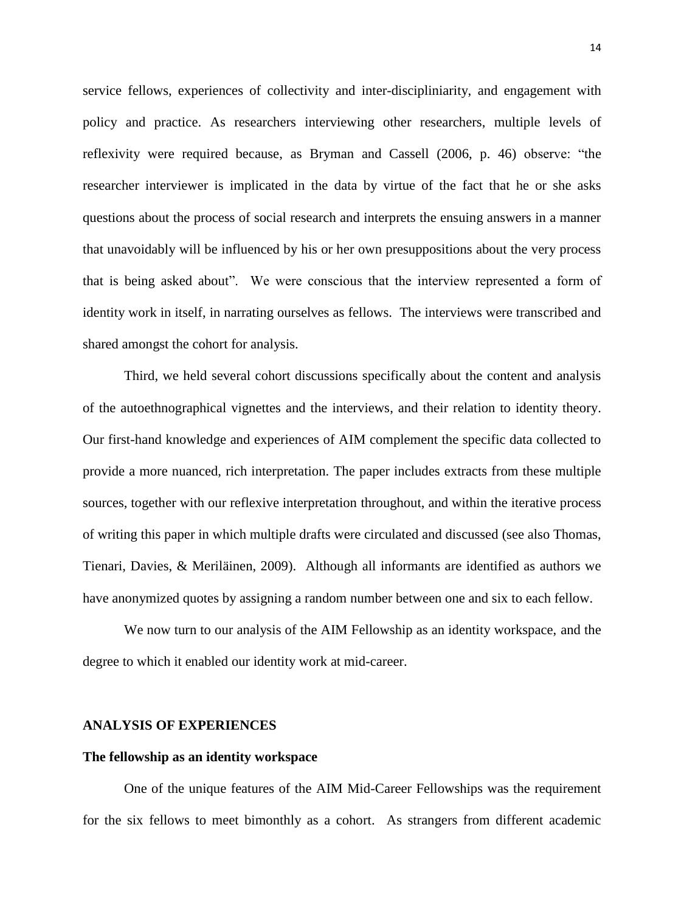service fellows, experiences of collectivity and inter-discipliniarity, and engagement with policy and practice. As researchers interviewing other researchers, multiple levels of reflexivity were required because, as Bryman and Cassell [\(2006, p. 46\)](#page-33-16) observe: "the researcher interviewer is implicated in the data by virtue of the fact that he or she asks questions about the process of social research and interprets the ensuing answers in a manner that unavoidably will be influenced by his or her own presuppositions about the very process that is being asked about". We were conscious that the interview represented a form of identity work in itself, in narrating ourselves as fellows. The interviews were transcribed and shared amongst the cohort for analysis.

Third, we held several cohort discussions specifically about the content and analysis of the autoethnographical vignettes and the interviews, and their relation to identity theory. Our first-hand knowledge and experiences of AIM complement the specific data collected to provide a more nuanced, rich interpretation. The paper includes extracts from these multiple sources, together with our reflexive interpretation throughout, and within the iterative process of writing this paper in which multiple drafts were circulated and discussed [\(see also Thomas,](#page-34-17)  [Tienari, Davies, & Meriläinen, 2009\)](#page-34-17). Although all informants are identified as authors we have anonymized quotes by assigning a random number between one and six to each fellow.

We now turn to our analysis of the AIM Fellowship as an identity workspace, and the degree to which it enabled our identity work at mid-career.

# **ANALYSIS OF EXPERIENCES**

#### **The fellowship as an identity workspace**

One of the unique features of the AIM Mid-Career Fellowships was the requirement for the six fellows to meet bimonthly as a cohort. As strangers from different academic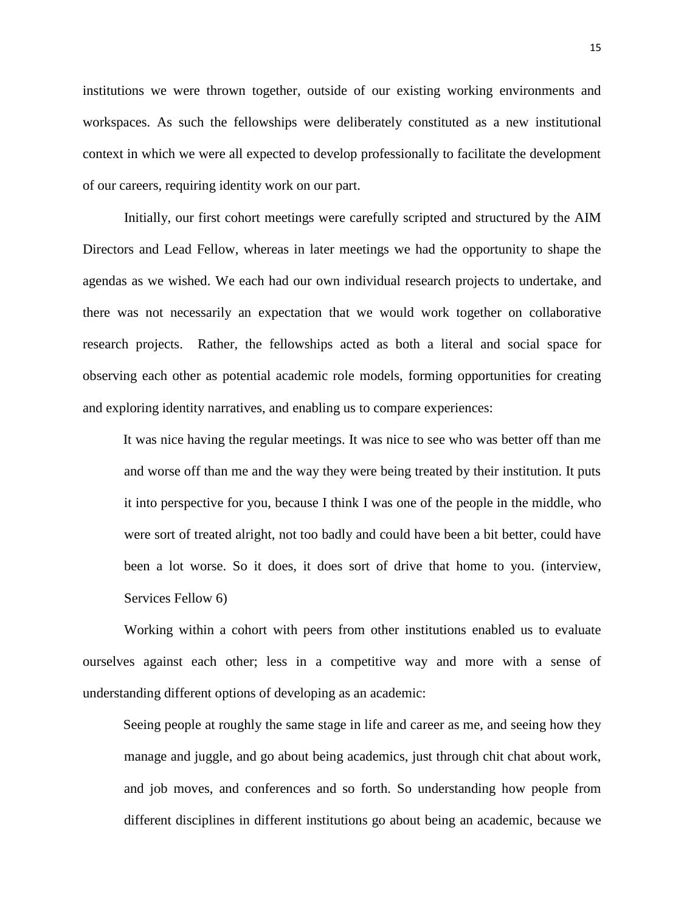institutions we were thrown together, outside of our existing working environments and workspaces. As such the fellowships were deliberately constituted as a new institutional context in which we were all expected to develop professionally to facilitate the development of our careers, requiring identity work on our part.

Initially, our first cohort meetings were carefully scripted and structured by the AIM Directors and Lead Fellow, whereas in later meetings we had the opportunity to shape the agendas as we wished. We each had our own individual research projects to undertake, and there was not necessarily an expectation that we would work together on collaborative research projects. Rather, the fellowships acted as both a literal and social space for observing each other as potential academic role models, forming opportunities for creating and exploring identity narratives, and enabling us to compare experiences:

It was nice having the regular meetings. It was nice to see who was better off than me and worse off than me and the way they were being treated by their institution. It puts it into perspective for you, because I think I was one of the people in the middle, who were sort of treated alright, not too badly and could have been a bit better, could have been a lot worse. So it does, it does sort of drive that home to you. (interview, Services Fellow 6)

Working within a cohort with peers from other institutions enabled us to evaluate ourselves against each other; less in a competitive way and more with a sense of understanding different options of developing as an academic:

Seeing people at roughly the same stage in life and career as me, and seeing how they manage and juggle, and go about being academics, just through chit chat about work, and job moves, and conferences and so forth. So understanding how people from different disciplines in different institutions go about being an academic, because we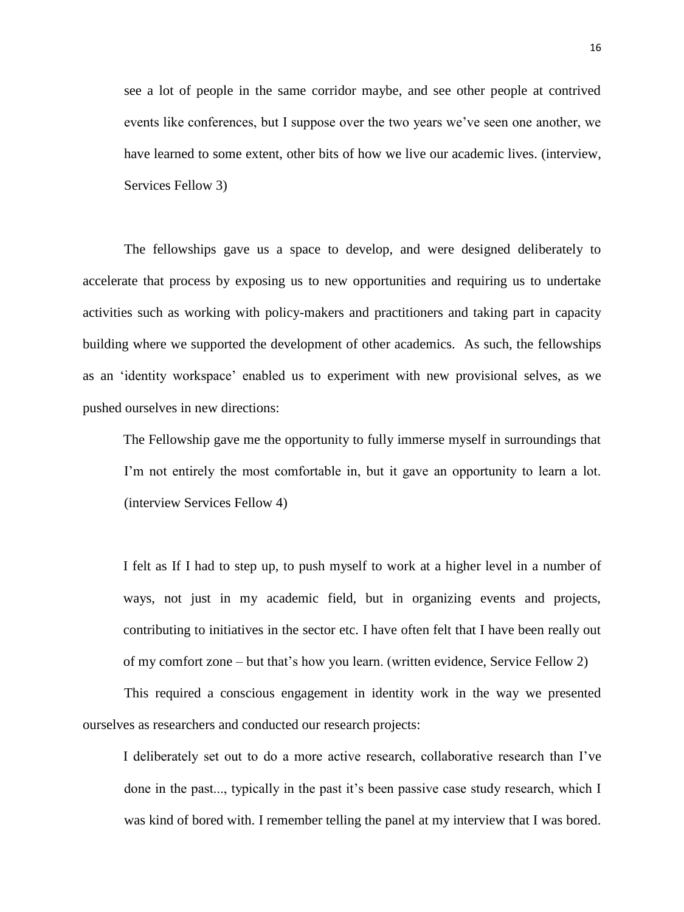see a lot of people in the same corridor maybe, and see other people at contrived events like conferences, but I suppose over the two years we've seen one another, we have learned to some extent, other bits of how we live our academic lives. (interview, Services Fellow 3)

The fellowships gave us a space to develop, and were designed deliberately to accelerate that process by exposing us to new opportunities and requiring us to undertake activities such as working with policy-makers and practitioners and taking part in capacity building where we supported the development of other academics. As such, the fellowships as an 'identity workspace' enabled us to experiment with new provisional selves, as we pushed ourselves in new directions:

The Fellowship gave me the opportunity to fully immerse myself in surroundings that I'm not entirely the most comfortable in, but it gave an opportunity to learn a lot. (interview Services Fellow 4)

I felt as If I had to step up, to push myself to work at a higher level in a number of ways, not just in my academic field, but in organizing events and projects, contributing to initiatives in the sector etc. I have often felt that I have been really out of my comfort zone – but that's how you learn. (written evidence, Service Fellow 2)

This required a conscious engagement in identity work in the way we presented ourselves as researchers and conducted our research projects:

I deliberately set out to do a more active research, collaborative research than I've done in the past..., typically in the past it's been passive case study research, which I was kind of bored with. I remember telling the panel at my interview that I was bored.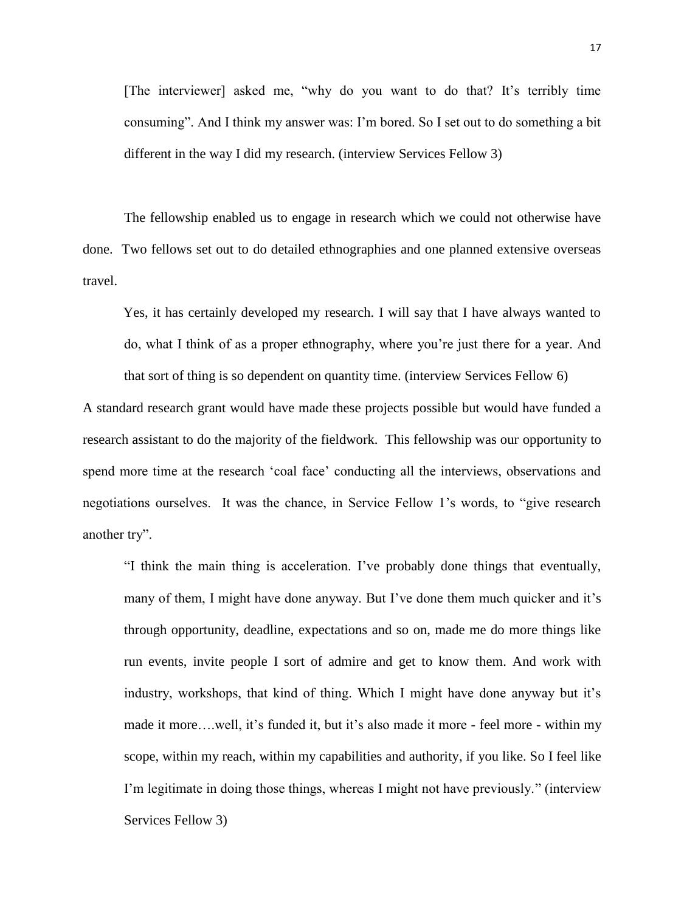[The interviewer] asked me, "why do you want to do that? It's terribly time consuming". And I think my answer was: I'm bored. So I set out to do something a bit different in the way I did my research. (interview Services Fellow 3)

The fellowship enabled us to engage in research which we could not otherwise have done. Two fellows set out to do detailed ethnographies and one planned extensive overseas travel.

Yes, it has certainly developed my research. I will say that I have always wanted to do, what I think of as a proper ethnography, where you're just there for a year. And that sort of thing is so dependent on quantity time. (interview Services Fellow 6)

A standard research grant would have made these projects possible but would have funded a research assistant to do the majority of the fieldwork. This fellowship was our opportunity to spend more time at the research 'coal face' conducting all the interviews, observations and negotiations ourselves. It was the chance, in Service Fellow 1's words, to "give research another try".

"I think the main thing is acceleration. I've probably done things that eventually, many of them, I might have done anyway. But I've done them much quicker and it's through opportunity, deadline, expectations and so on, made me do more things like run events, invite people I sort of admire and get to know them. And work with industry, workshops, that kind of thing. Which I might have done anyway but it's made it more….well, it's funded it, but it's also made it more - feel more - within my scope, within my reach, within my capabilities and authority, if you like. So I feel like I'm legitimate in doing those things, whereas I might not have previously." (interview Services Fellow 3)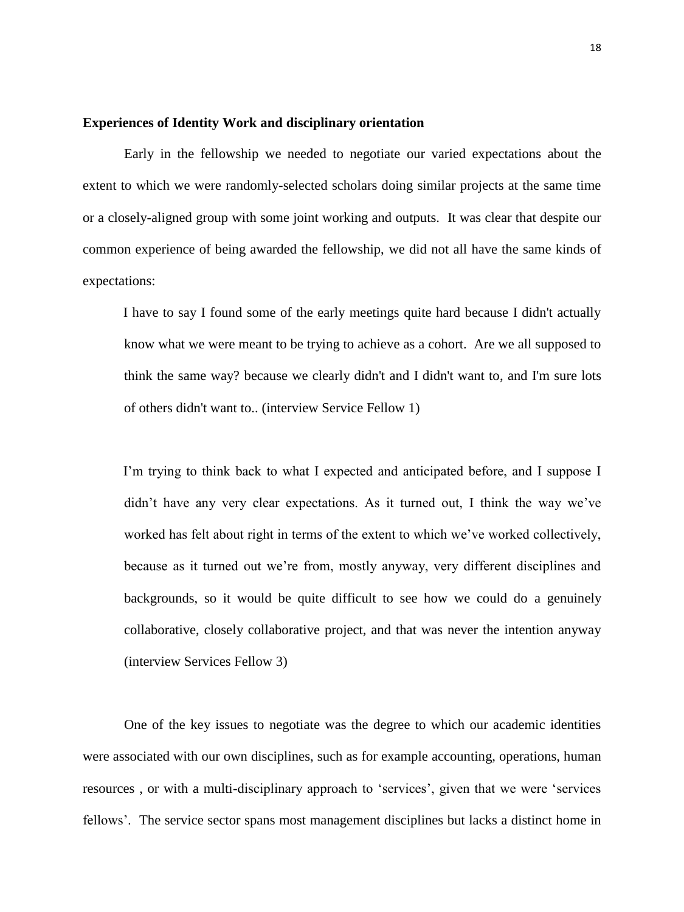# **Experiences of Identity Work and disciplinary orientation**

Early in the fellowship we needed to negotiate our varied expectations about the extent to which we were randomly-selected scholars doing similar projects at the same time or a closely-aligned group with some joint working and outputs. It was clear that despite our common experience of being awarded the fellowship, we did not all have the same kinds of expectations:

I have to say I found some of the early meetings quite hard because I didn't actually know what we were meant to be trying to achieve as a cohort. Are we all supposed to think the same way? because we clearly didn't and I didn't want to, and I'm sure lots of others didn't want to.. (interview Service Fellow 1)

I'm trying to think back to what I expected and anticipated before, and I suppose I didn't have any very clear expectations. As it turned out, I think the way we've worked has felt about right in terms of the extent to which we've worked collectively, because as it turned out we're from, mostly anyway, very different disciplines and backgrounds, so it would be quite difficult to see how we could do a genuinely collaborative, closely collaborative project, and that was never the intention anyway (interview Services Fellow 3)

One of the key issues to negotiate was the degree to which our academic identities were associated with our own disciplines, such as for example accounting, operations, human resources , or with a multi-disciplinary approach to 'services', given that we were 'services fellows'. The service sector spans most management disciplines but lacks a distinct home in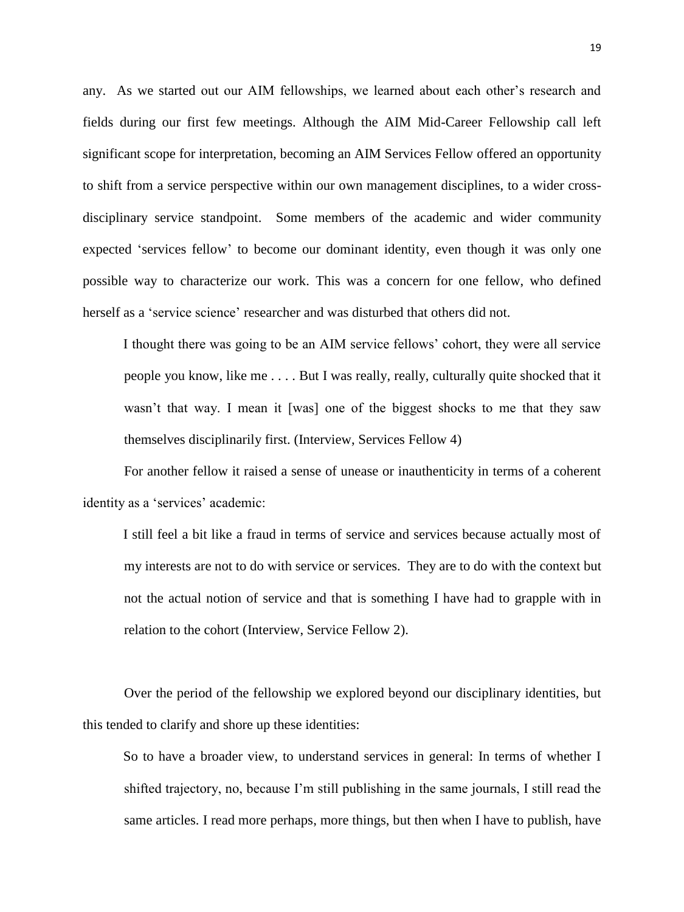any. As we started out our AIM fellowships, we learned about each other's research and fields during our first few meetings. Although the AIM Mid-Career Fellowship call left significant scope for interpretation, becoming an AIM Services Fellow offered an opportunity to shift from a service perspective within our own management disciplines, to a wider crossdisciplinary service standpoint. Some members of the academic and wider community expected 'services fellow' to become our dominant identity, even though it was only one possible way to characterize our work. This was a concern for one fellow, who defined herself as a 'service science' researcher and was disturbed that others did not.

I thought there was going to be an AIM service fellows' cohort, they were all service people you know, like me . . . . But I was really, really, culturally quite shocked that it wasn't that way. I mean it [was] one of the biggest shocks to me that they saw themselves disciplinarily first. (Interview, Services Fellow 4)

For another fellow it raised a sense of unease or inauthenticity in terms of a coherent identity as a 'services' academic:

I still feel a bit like a fraud in terms of service and services because actually most of my interests are not to do with service or services. They are to do with the context but not the actual notion of service and that is something I have had to grapple with in relation to the cohort (Interview, Service Fellow 2).

Over the period of the fellowship we explored beyond our disciplinary identities, but this tended to clarify and shore up these identities:

So to have a broader view, to understand services in general: In terms of whether I shifted trajectory, no, because I'm still publishing in the same journals, I still read the same articles. I read more perhaps, more things, but then when I have to publish, have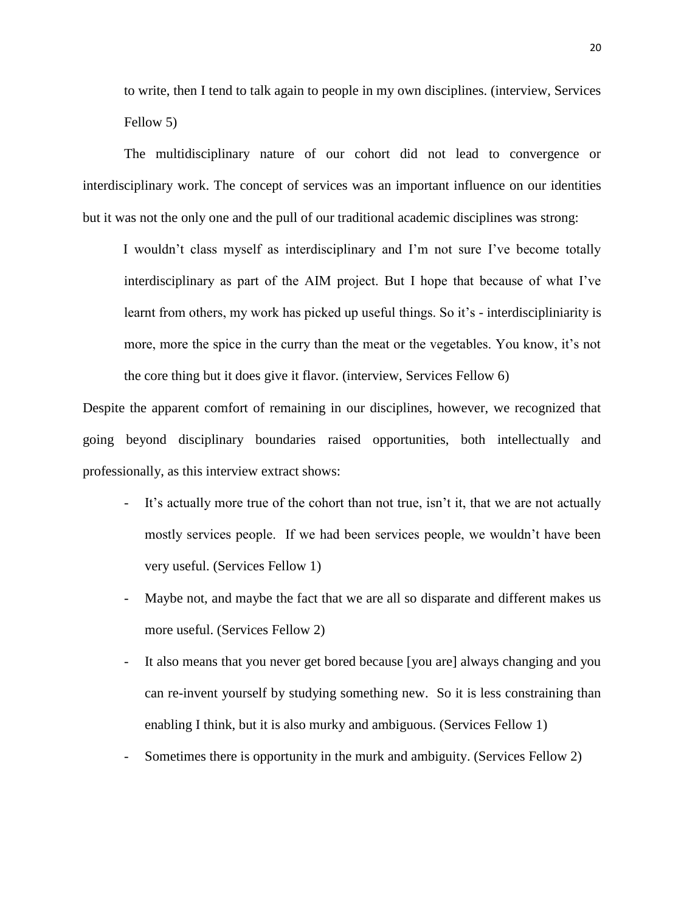to write, then I tend to talk again to people in my own disciplines. (interview, Services Fellow 5)

The multidisciplinary nature of our cohort did not lead to convergence or interdisciplinary work. The concept of services was an important influence on our identities but it was not the only one and the pull of our traditional academic disciplines was strong:

I wouldn't class myself as interdisciplinary and I'm not sure I've become totally interdisciplinary as part of the AIM project. But I hope that because of what I've learnt from others, my work has picked up useful things. So it's - interdiscipliniarity is more, more the spice in the curry than the meat or the vegetables. You know, it's not the core thing but it does give it flavor. (interview, Services Fellow 6)

Despite the apparent comfort of remaining in our disciplines, however, we recognized that going beyond disciplinary boundaries raised opportunities, both intellectually and professionally, as this interview extract shows:

- It's actually more true of the cohort than not true, isn't it, that we are not actually mostly services people. If we had been services people, we wouldn't have been very useful. (Services Fellow 1)
- Maybe not, and maybe the fact that we are all so disparate and different makes us more useful. (Services Fellow 2)
- It also means that you never get bored because [you are] always changing and you can re-invent yourself by studying something new. So it is less constraining than enabling I think, but it is also murky and ambiguous. (Services Fellow 1)
- Sometimes there is opportunity in the murk and ambiguity. (Services Fellow 2)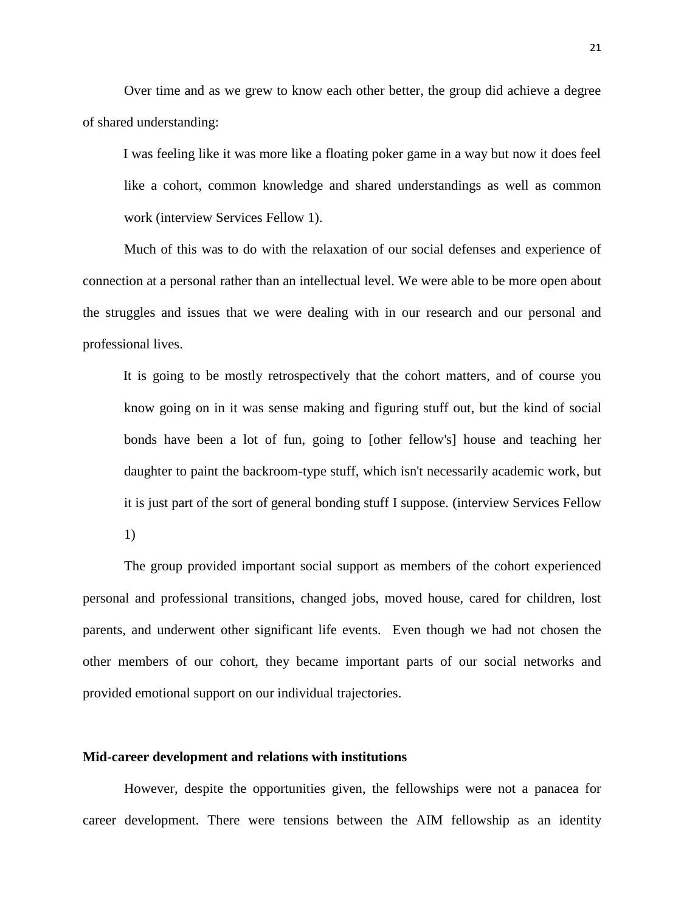Over time and as we grew to know each other better, the group did achieve a degree of shared understanding:

I was feeling like it was more like a floating poker game in a way but now it does feel like a cohort, common knowledge and shared understandings as well as common work (interview Services Fellow 1).

Much of this was to do with the relaxation of our social defenses and experience of connection at a personal rather than an intellectual level. We were able to be more open about the struggles and issues that we were dealing with in our research and our personal and professional lives.

It is going to be mostly retrospectively that the cohort matters, and of course you know going on in it was sense making and figuring stuff out, but the kind of social bonds have been a lot of fun, going to [other fellow's] house and teaching her daughter to paint the backroom-type stuff, which isn't necessarily academic work, but it is just part of the sort of general bonding stuff I suppose. (interview Services Fellow 1)

The group provided important social support as members of the cohort experienced personal and professional transitions, changed jobs, moved house, cared for children, lost parents, and underwent other significant life events. Even though we had not chosen the other members of our cohort, they became important parts of our social networks and provided emotional support on our individual trajectories.

## **Mid-career development and relations with institutions**

However, despite the opportunities given, the fellowships were not a panacea for career development. There were tensions between the AIM fellowship as an identity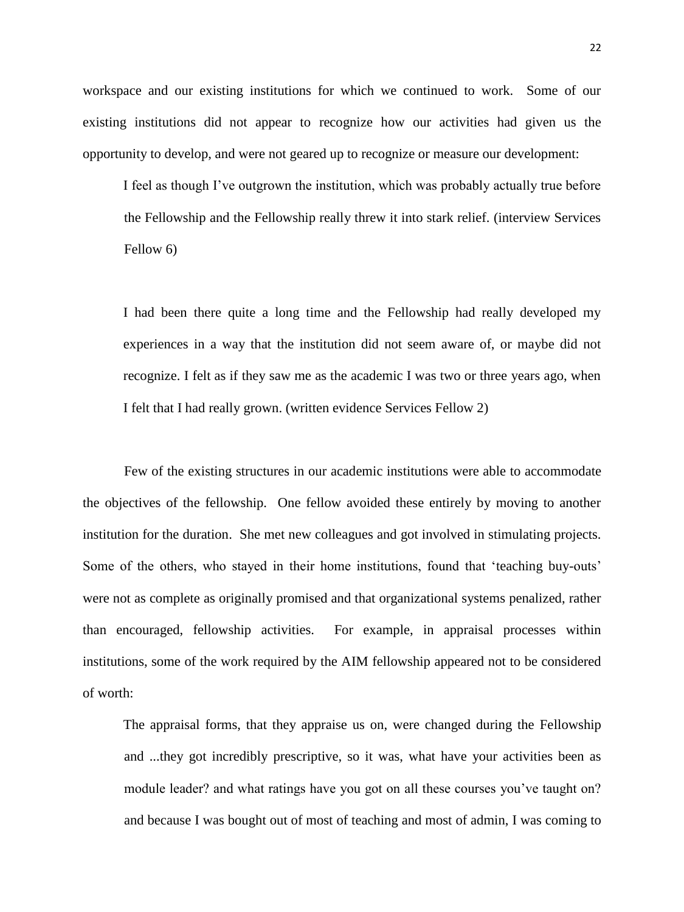workspace and our existing institutions for which we continued to work. Some of our existing institutions did not appear to recognize how our activities had given us the opportunity to develop, and were not geared up to recognize or measure our development:

I feel as though I've outgrown the institution, which was probably actually true before the Fellowship and the Fellowship really threw it into stark relief. (interview Services Fellow 6)

I had been there quite a long time and the Fellowship had really developed my experiences in a way that the institution did not seem aware of, or maybe did not recognize. I felt as if they saw me as the academic I was two or three years ago, when I felt that I had really grown. (written evidence Services Fellow 2)

Few of the existing structures in our academic institutions were able to accommodate the objectives of the fellowship. One fellow avoided these entirely by moving to another institution for the duration. She met new colleagues and got involved in stimulating projects. Some of the others, who stayed in their home institutions, found that 'teaching buy-outs' were not as complete as originally promised and that organizational systems penalized, rather than encouraged, fellowship activities. For example, in appraisal processes within institutions, some of the work required by the AIM fellowship appeared not to be considered of worth:

The appraisal forms, that they appraise us on, were changed during the Fellowship and ...they got incredibly prescriptive, so it was, what have your activities been as module leader? and what ratings have you got on all these courses you've taught on? and because I was bought out of most of teaching and most of admin, I was coming to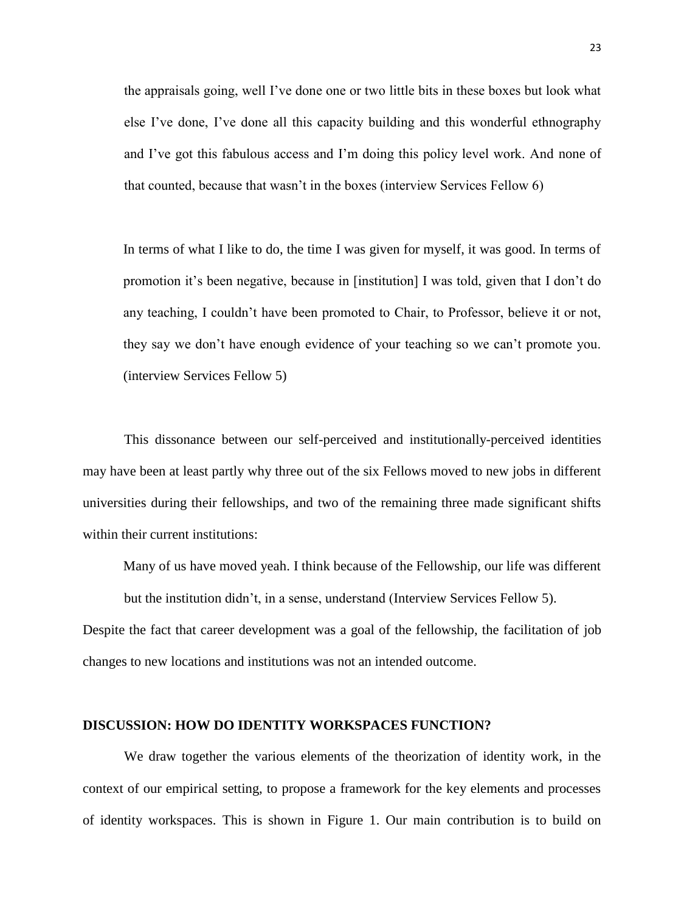the appraisals going, well I've done one or two little bits in these boxes but look what else I've done, I've done all this capacity building and this wonderful ethnography and I've got this fabulous access and I'm doing this policy level work. And none of that counted, because that wasn't in the boxes (interview Services Fellow 6)

In terms of what I like to do, the time I was given for myself, it was good. In terms of promotion it's been negative, because in [institution] I was told, given that I don't do any teaching, I couldn't have been promoted to Chair, to Professor, believe it or not, they say we don't have enough evidence of your teaching so we can't promote you. (interview Services Fellow 5)

This dissonance between our self-perceived and institutionally-perceived identities may have been at least partly why three out of the six Fellows moved to new jobs in different universities during their fellowships, and two of the remaining three made significant shifts within their current institutions:

Many of us have moved yeah. I think because of the Fellowship, our life was different but the institution didn't, in a sense, understand (Interview Services Fellow 5).

Despite the fact that career development was a goal of the fellowship, the facilitation of job changes to new locations and institutions was not an intended outcome.

# **DISCUSSION: HOW DO IDENTITY WORKSPACES FUNCTION?**

We draw together the various elements of the theorization of identity work, in the context of our empirical setting, to propose a framework for the key elements and processes of identity workspaces. This is shown in Figure 1. Our main contribution is to build on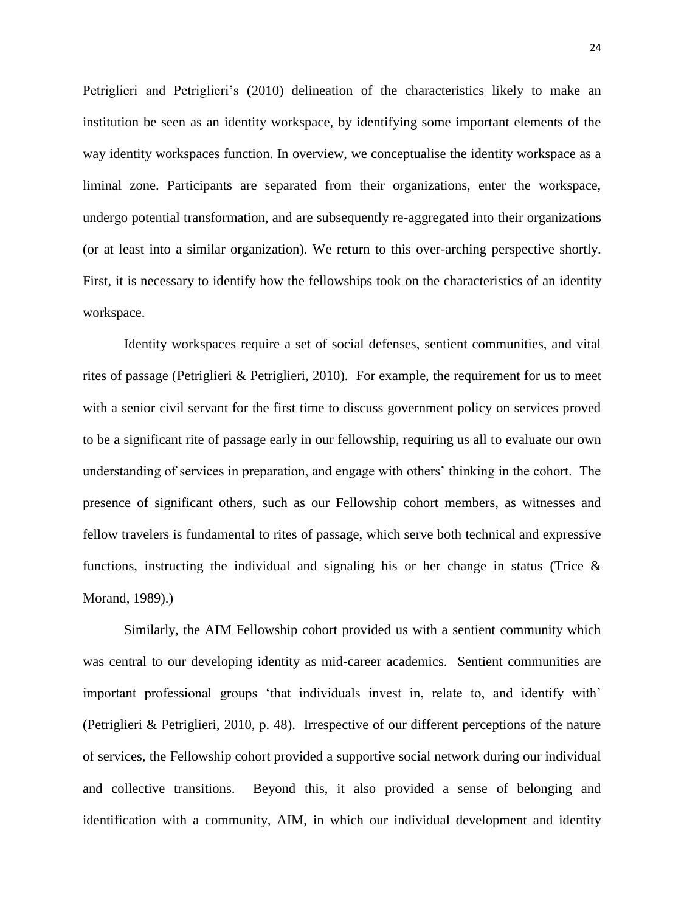Petriglieri and Petriglieri's (2010) delineation of the characteristics likely to make an institution be seen as an identity workspace, by identifying some important elements of the way identity workspaces function. In overview, we conceptualise the identity workspace as a liminal zone. Participants are separated from their organizations, enter the workspace, undergo potential transformation, and are subsequently re-aggregated into their organizations (or at least into a similar organization). We return to this over-arching perspective shortly. First, it is necessary to identify how the fellowships took on the characteristics of an identity workspace.

Identity workspaces require a set of social defenses, sentient communities, and vital rites of passage (Petriglieri & Petriglieri, 2010). For example, the requirement for us to meet with a senior civil servant for the first time to discuss government policy on services proved to be a significant rite of passage early in our fellowship, requiring us all to evaluate our own understanding of services in preparation, and engage with others' thinking in the cohort. The presence of significant others, such as our Fellowship cohort members, as witnesses and fellow travelers is fundamental to rites of passage, which serve both technical and expressive functions, instructing the individual and signaling his or her change in status (Trice  $\&$ [Morand, 1989\)](#page-35-3).)

Similarly, the AIM Fellowship cohort provided us with a sentient community which was central to our developing identity as mid-career academics. Sentient communities are important professional groups 'that individuals invest in, relate to, and identify with' (Petriglieri & Petriglieri, 2010, p. 48). Irrespective of our different perceptions of the nature of services, the Fellowship cohort provided a supportive social network during our individual and collective transitions. Beyond this, it also provided a sense of belonging and identification with a community, AIM, in which our individual development and identity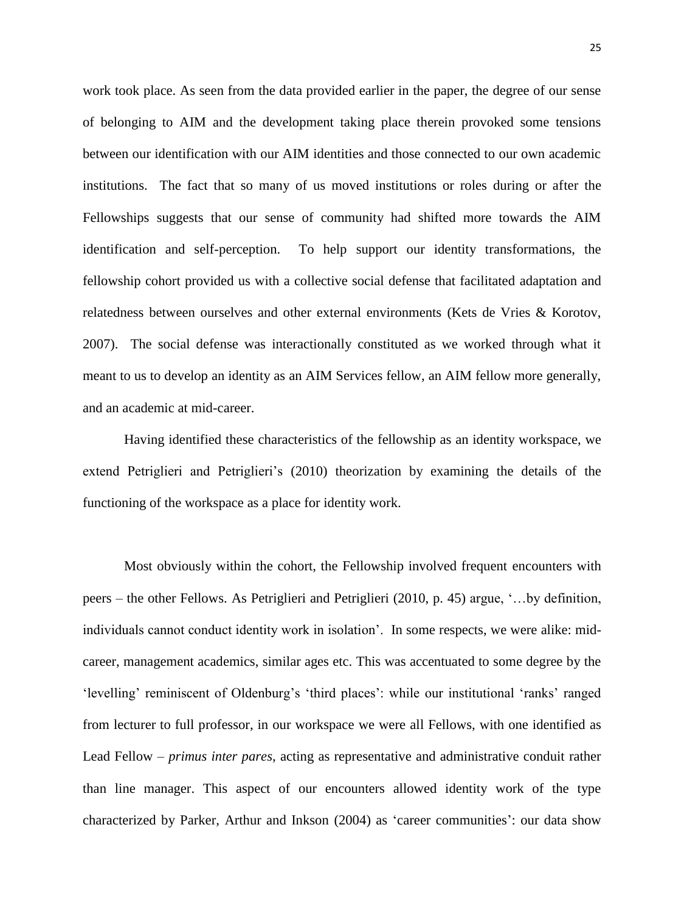work took place. As seen from the data provided earlier in the paper, the degree of our sense of belonging to AIM and the development taking place therein provoked some tensions between our identification with our AIM identities and those connected to our own academic institutions. The fact that so many of us moved institutions or roles during or after the Fellowships suggests that our sense of community had shifted more towards the AIM identification and self-perception. To help support our identity transformations, the fellowship cohort provided us with a collective social defense that facilitated adaptation and relatedness between ourselves and other external environments [\(Kets de Vries & Korotov,](#page-34-18)  [2007\)](#page-34-18). The social defense was interactionally constituted as we worked through what it meant to us to develop an identity as an AIM Services fellow, an AIM fellow more generally, and an academic at mid-career.

Having identified these characteristics of the fellowship as an identity workspace, we extend Petriglieri and Petriglieri's [\(2010\)](#page-34-2) theorization by examining the details of the functioning of the workspace as a place for identity work.

Most obviously within the cohort, the Fellowship involved frequent encounters with peers – the other Fellows. As Petriglieri and Petriglieri [\(2010, p. 45\)](#page-34-2) argue, '…by definition, individuals cannot conduct identity work in isolation'. In some respects, we were alike: midcareer, management academics, similar ages etc. This was accentuated to some degree by the 'levelling' reminiscent of Oldenburg's 'third places': while our institutional 'ranks' ranged from lecturer to full professor, in our workspace we were all Fellows, with one identified as Lead Fellow – *primus inter pares*, acting as representative and administrative conduit rather than line manager. This aspect of our encounters allowed identity work of the type characterized by Parker, Arthur and Inkson [\(2004\)](#page-34-19) as 'career communities': our data show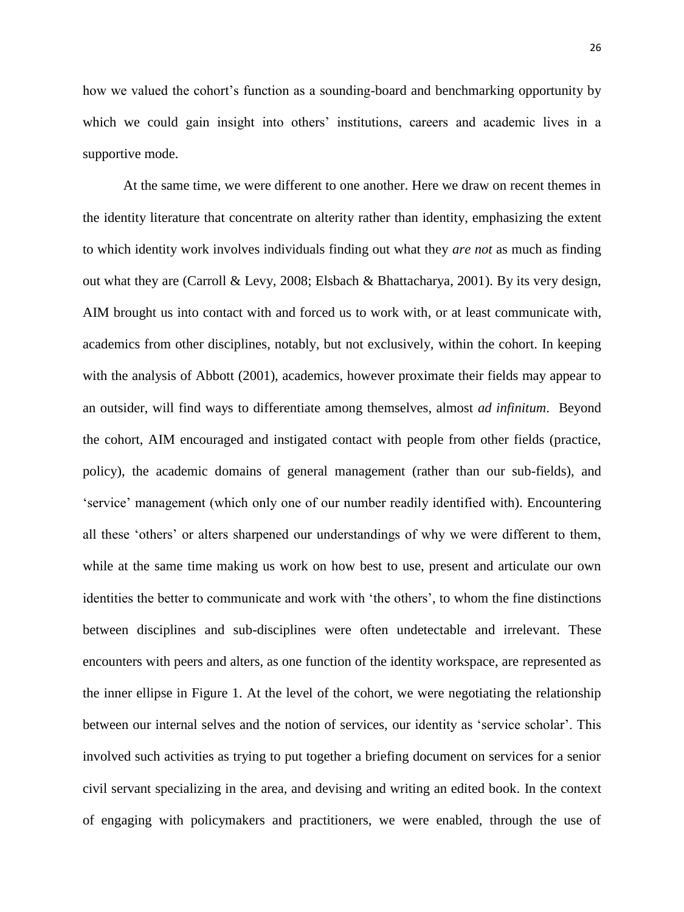26

how we valued the cohort's function as a sounding-board and benchmarking opportunity by which we could gain insight into others' institutions, careers and academic lives in a supportive mode.

At the same time, we were different to one another. Here we draw on recent themes in the identity literature that concentrate on alterity rather than identity, emphasizing the extent to which identity work involves individuals finding out what they *are not* as much as finding out what they are [\(Carroll & Levy, 2008;](#page-33-17) [Elsbach & Bhattacharya, 2001\)](#page-33-18). By its very design, AIM brought us into contact with and forced us to work with, or at least communicate with, academics from other disciplines, notably, but not exclusively, within the cohort. In keeping with the analysis of Abbott [\(2001\)](#page-33-19), academics, however proximate their fields may appear to an outsider, will find ways to differentiate among themselves, almost *ad infinitum*. Beyond the cohort, AIM encouraged and instigated contact with people from other fields (practice, policy), the academic domains of general management (rather than our sub-fields), and 'service' management (which only one of our number readily identified with). Encountering all these 'others' or alters sharpened our understandings of why we were different to them, while at the same time making us work on how best to use, present and articulate our own identities the better to communicate and work with 'the others', to whom the fine distinctions between disciplines and sub-disciplines were often undetectable and irrelevant. These encounters with peers and alters, as one function of the identity workspace, are represented as the inner ellipse in Figure 1. At the level of the cohort, we were negotiating the relationship between our internal selves and the notion of services, our identity as 'service scholar'. This involved such activities as trying to put together a briefing document on services for a senior civil servant specializing in the area, and devising and writing an edited book. In the context of engaging with policymakers and practitioners, we were enabled, through the use of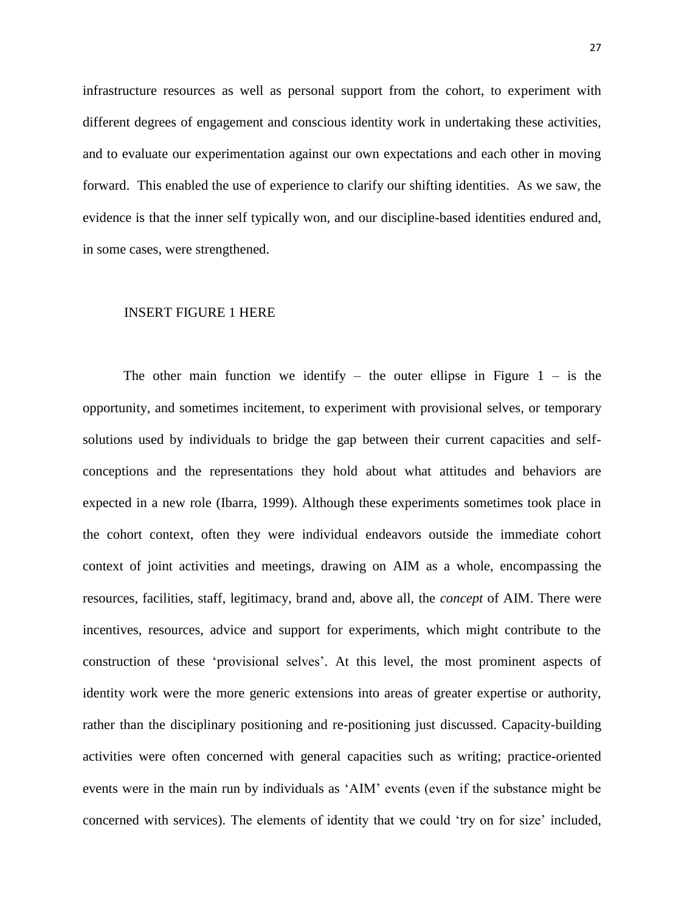infrastructure resources as well as personal support from the cohort, to experiment with different degrees of engagement and conscious identity work in undertaking these activities, and to evaluate our experimentation against our own expectations and each other in moving forward. This enabled the use of experience to clarify our shifting identities. As we saw, the evidence is that the inner self typically won, and our discipline-based identities endured and, in some cases, were strengthened.

# INSERT FIGURE 1 HERE

The other main function we identify – the outer ellipse in Figure  $1 -$  is the opportunity, and sometimes incitement, to experiment with provisional selves, or temporary solutions used by individuals to bridge the gap between their current capacities and selfconceptions and the representations they hold about what attitudes and behaviors are expected in a new role [\(Ibarra, 1999\)](#page-34-8). Although these experiments sometimes took place in the cohort context, often they were individual endeavors outside the immediate cohort context of joint activities and meetings, drawing on AIM as a whole, encompassing the resources, facilities, staff, legitimacy, brand and, above all, the *concept* of AIM. There were incentives, resources, advice and support for experiments, which might contribute to the construction of these 'provisional selves'. At this level, the most prominent aspects of identity work were the more generic extensions into areas of greater expertise or authority, rather than the disciplinary positioning and re-positioning just discussed. Capacity-building activities were often concerned with general capacities such as writing; practice-oriented events were in the main run by individuals as 'AIM' events (even if the substance might be concerned with services). The elements of identity that we could 'try on for size' included,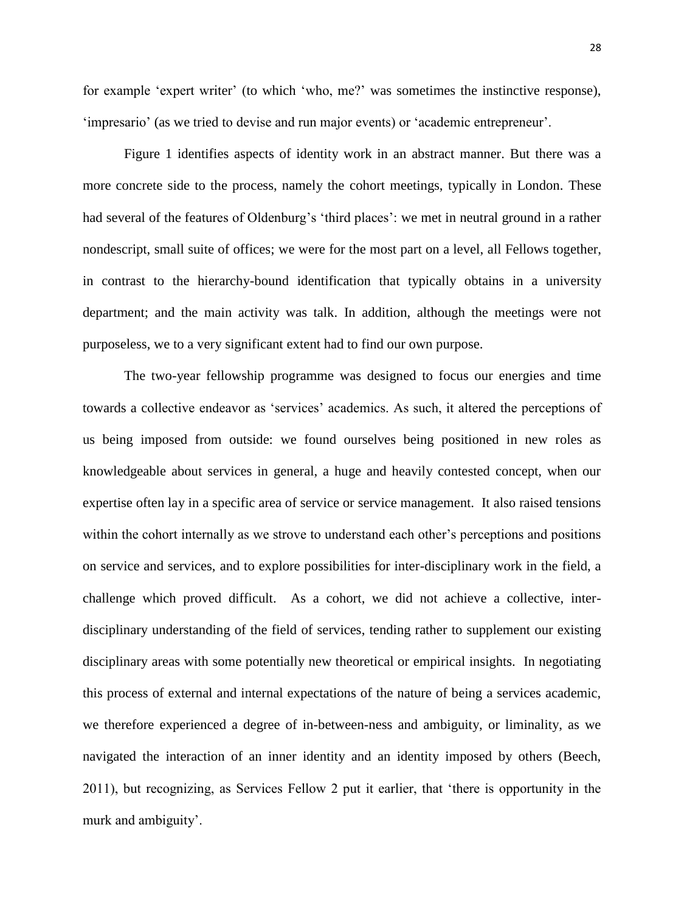for example 'expert writer' (to which 'who, me?' was sometimes the instinctive response), 'impresario' (as we tried to devise and run major events) or 'academic entrepreneur'.

Figure 1 identifies aspects of identity work in an abstract manner. But there was a more concrete side to the process, namely the cohort meetings, typically in London. These had several of the features of Oldenburg's 'third places': we met in neutral ground in a rather nondescript, small suite of offices; we were for the most part on a level, all Fellows together, in contrast to the hierarchy-bound identification that typically obtains in a university department; and the main activity was talk. In addition, although the meetings were not purposeless, we to a very significant extent had to find our own purpose.

The two-year fellowship programme was designed to focus our energies and time towards a collective endeavor as 'services' academics. As such, it altered the perceptions of us being imposed from outside: we found ourselves being positioned in new roles as knowledgeable about services in general, a huge and heavily contested concept, when our expertise often lay in a specific area of service or service management. It also raised tensions within the cohort internally as we strove to understand each other's perceptions and positions on service and services, and to explore possibilities for inter-disciplinary work in the field, a challenge which proved difficult. As a cohort, we did not achieve a collective, interdisciplinary understanding of the field of services, tending rather to supplement our existing disciplinary areas with some potentially new theoretical or empirical insights. In negotiating this process of external and internal expectations of the nature of being a services academic, we therefore experienced a degree of in-between-ness and ambiguity, or liminality, as we navigated the interaction of an inner identity and an identity imposed by others (Beech, 2011), but recognizing, as Services Fellow 2 put it earlier, that 'there is opportunity in the murk and ambiguity'.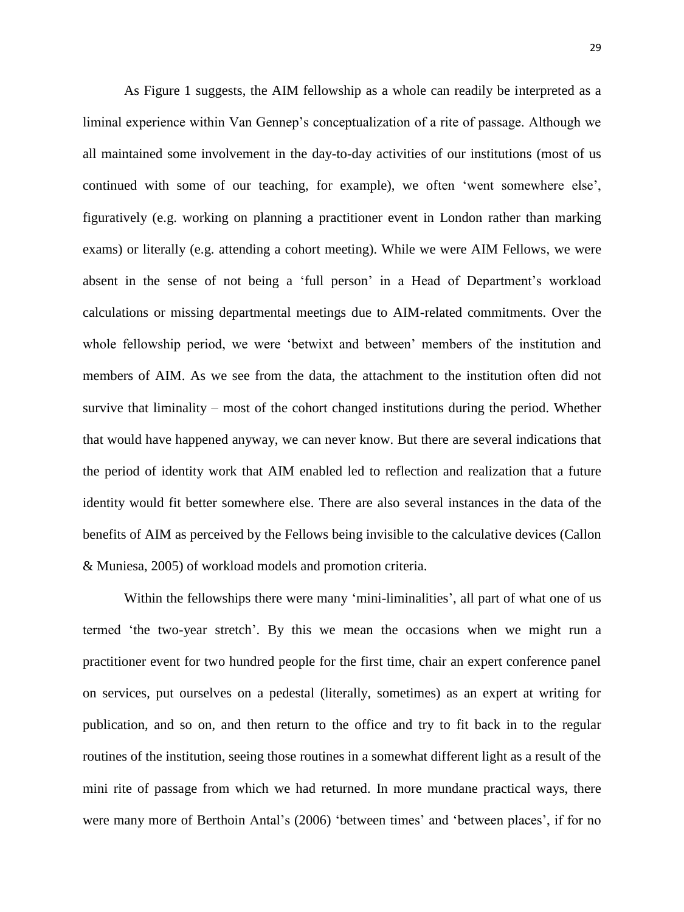As Figure 1 suggests, the AIM fellowship as a whole can readily be interpreted as a liminal experience within Van Gennep's conceptualization of a rite of passage. Although we all maintained some involvement in the day-to-day activities of our institutions (most of us continued with some of our teaching, for example), we often 'went somewhere else', figuratively (e.g. working on planning a practitioner event in London rather than marking exams) or literally (e.g. attending a cohort meeting). While we were AIM Fellows, we were absent in the sense of not being a 'full person' in a Head of Department's workload calculations or missing departmental meetings due to AIM-related commitments. Over the whole fellowship period, we were 'betwixt and between' members of the institution and members of AIM. As we see from the data, the attachment to the institution often did not survive that liminality – most of the cohort changed institutions during the period. Whether that would have happened anyway, we can never know. But there are several indications that the period of identity work that AIM enabled led to reflection and realization that a future identity would fit better somewhere else. There are also several instances in the data of the benefits of AIM as perceived by the Fellows being invisible to the calculative devices [\(Callon](#page-33-20)  [& Muniesa, 2005\)](#page-33-20) of workload models and promotion criteria.

Within the fellowships there were many 'mini-liminalities', all part of what one of us termed 'the two-year stretch'. By this we mean the occasions when we might run a practitioner event for two hundred people for the first time, chair an expert conference panel on services, put ourselves on a pedestal (literally, sometimes) as an expert at writing for publication, and so on, and then return to the office and try to fit back in to the regular routines of the institution, seeing those routines in a somewhat different light as a result of the mini rite of passage from which we had returned. In more mundane practical ways, there were many more of Berthoin Antal's [\(2006\)](#page-33-8) 'between times' and 'between places', if for no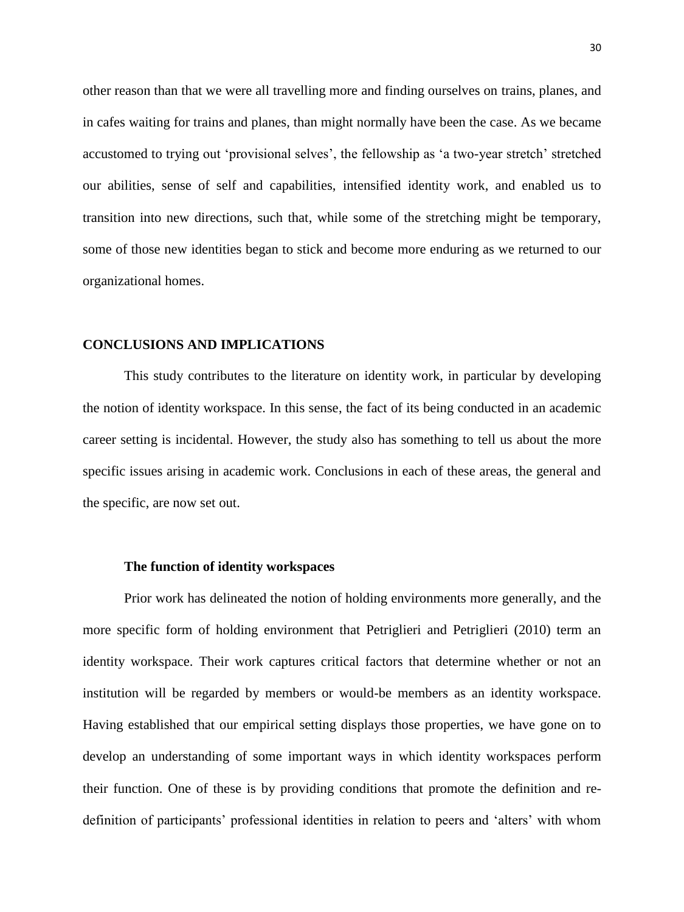other reason than that we were all travelling more and finding ourselves on trains, planes, and in cafes waiting for trains and planes, than might normally have been the case. As we became accustomed to trying out 'provisional selves', the fellowship as 'a two-year stretch' stretched our abilities, sense of self and capabilities, intensified identity work, and enabled us to transition into new directions, such that, while some of the stretching might be temporary, some of those new identities began to stick and become more enduring as we returned to our organizational homes.

## **CONCLUSIONS AND IMPLICATIONS**

This study contributes to the literature on identity work, in particular by developing the notion of identity workspace. In this sense, the fact of its being conducted in an academic career setting is incidental. However, the study also has something to tell us about the more specific issues arising in academic work. Conclusions in each of these areas, the general and the specific, are now set out.

## **The function of identity workspaces**

Prior work has delineated the notion of holding environments more generally, and the more specific form of holding environment that Petriglieri and Petriglieri (2010) term an identity workspace. Their work captures critical factors that determine whether or not an institution will be regarded by members or would-be members as an identity workspace. Having established that our empirical setting displays those properties, we have gone on to develop an understanding of some important ways in which identity workspaces perform their function. One of these is by providing conditions that promote the definition and redefinition of participants' professional identities in relation to peers and 'alters' with whom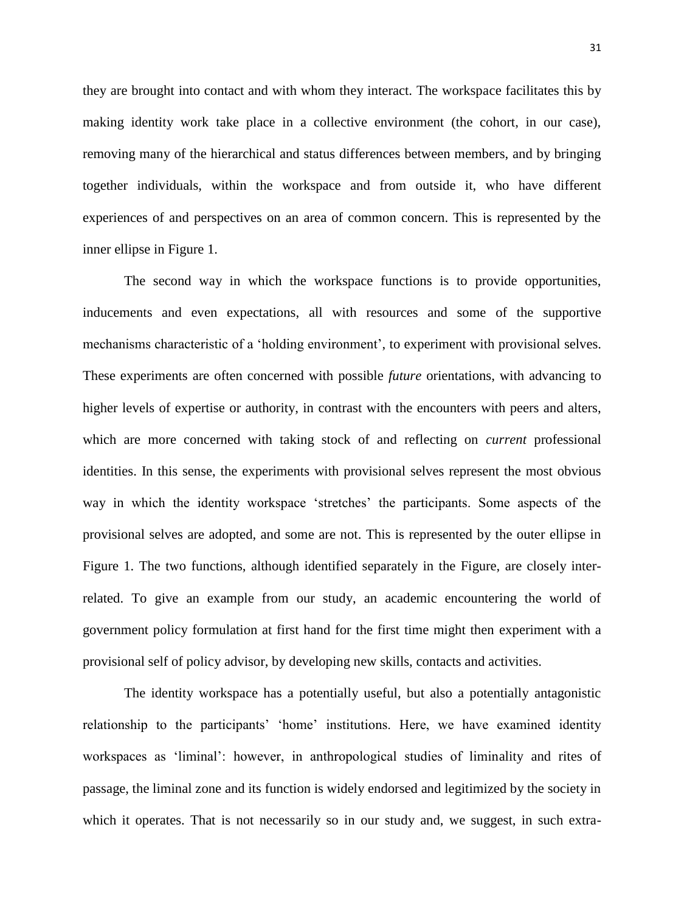they are brought into contact and with whom they interact. The workspace facilitates this by making identity work take place in a collective environment (the cohort, in our case), removing many of the hierarchical and status differences between members, and by bringing together individuals, within the workspace and from outside it, who have different experiences of and perspectives on an area of common concern. This is represented by the inner ellipse in Figure 1.

The second way in which the workspace functions is to provide opportunities, inducements and even expectations, all with resources and some of the supportive mechanisms characteristic of a 'holding environment', to experiment with provisional selves. These experiments are often concerned with possible *future* orientations, with advancing to higher levels of expertise or authority, in contrast with the encounters with peers and alters, which are more concerned with taking stock of and reflecting on *current* professional identities. In this sense, the experiments with provisional selves represent the most obvious way in which the identity workspace 'stretches' the participants. Some aspects of the provisional selves are adopted, and some are not. This is represented by the outer ellipse in Figure 1. The two functions, although identified separately in the Figure, are closely interrelated. To give an example from our study, an academic encountering the world of government policy formulation at first hand for the first time might then experiment with a provisional self of policy advisor, by developing new skills, contacts and activities.

The identity workspace has a potentially useful, but also a potentially antagonistic relationship to the participants' 'home' institutions. Here, we have examined identity workspaces as 'liminal': however, in anthropological studies of liminality and rites of passage, the liminal zone and its function is widely endorsed and legitimized by the society in which it operates. That is not necessarily so in our study and, we suggest, in such extra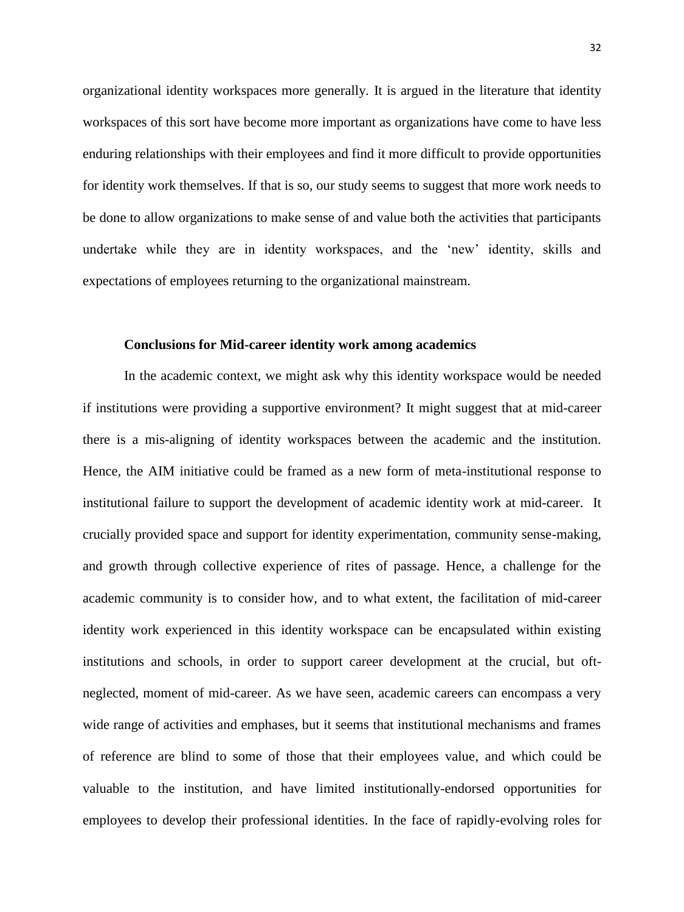organizational identity workspaces more generally. It is argued in the literature that identity workspaces of this sort have become more important as organizations have come to have less enduring relationships with their employees and find it more difficult to provide opportunities for identity work themselves. If that is so, our study seems to suggest that more work needs to be done to allow organizations to make sense of and value both the activities that participants undertake while they are in identity workspaces, and the 'new' identity, skills and expectations of employees returning to the organizational mainstream.

# **Conclusions for Mid-career identity work among academics**

In the academic context, we might ask why this identity workspace would be needed if institutions were providing a supportive environment? It might suggest that at mid-career there is a mis-aligning of identity workspaces between the academic and the institution. Hence, the AIM initiative could be framed as a new form of meta-institutional response to institutional failure to support the development of academic identity work at mid-career. It crucially provided space and support for identity experimentation, community sense-making, and growth through collective experience of rites of passage. Hence, a challenge for the academic community is to consider how, and to what extent, the facilitation of mid-career identity work experienced in this identity workspace can be encapsulated within existing institutions and schools, in order to support career development at the crucial, but oftneglected, moment of mid-career. As we have seen, academic careers can encompass a very wide range of activities and emphases, but it seems that institutional mechanisms and frames of reference are blind to some of those that their employees value, and which could be valuable to the institution, and have limited institutionally-endorsed opportunities for employees to develop their professional identities. In the face of rapidly-evolving roles for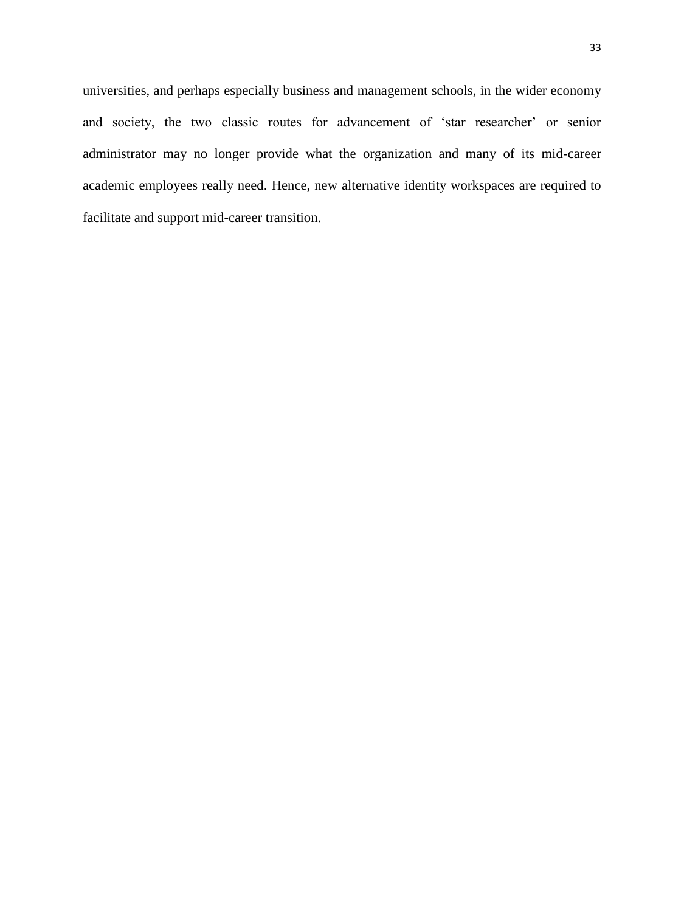universities, and perhaps especially business and management schools, in the wider economy and society, the two classic routes for advancement of 'star researcher' or senior administrator may no longer provide what the organization and many of its mid-career academic employees really need. Hence, new alternative identity workspaces are required to facilitate and support mid-career transition.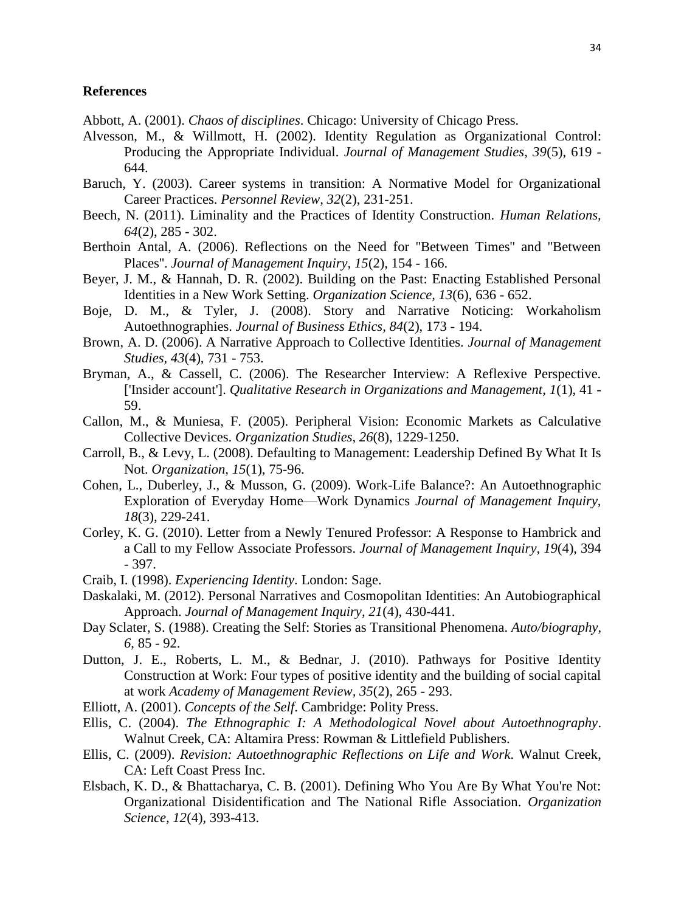# **References**

- <span id="page-33-19"></span>Abbott, A. (2001). *Chaos of disciplines*. Chicago: University of Chicago Press.
- <span id="page-33-4"></span>Alvesson, M., & Willmott, H. (2002). Identity Regulation as Organizational Control: Producing the Appropriate Individual. *Journal of Management Studies, 39*(5), 619 - 644.
- <span id="page-33-1"></span>Baruch, Y. (2003). Career systems in transition: A Normative Model for Organizational Career Practices. *Personnel Review, 32*(2), 231-251.
- <span id="page-33-0"></span>Beech, N. (2011). Liminality and the Practices of Identity Construction. *Human Relations, 64*(2), 285 - 302.
- <span id="page-33-8"></span>Berthoin Antal, A. (2006). Reflections on the Need for ''Between Times'' and ''Between Places''. *Journal of Management Inquiry, 15*(2), 154 - 166.
- <span id="page-33-7"></span>Beyer, J. M., & Hannah, D. R. (2002). Building on the Past: Enacting Established Personal Identities in a New Work Setting. *Organization Science, 13*(6), 636 - 652.
- <span id="page-33-11"></span>Boje, D. M., & Tyler, J. (2008). Story and Narrative Noticing: Workaholism Autoethnographies. *Journal of Business Ethics, 84*(2), 173 - 194.
- <span id="page-33-10"></span>Brown, A. D. (2006). A Narrative Approach to Collective Identities. *Journal of Management Studies, 43*(4), 731 - 753.
- <span id="page-33-16"></span>Bryman, A., & Cassell, C. (2006). The Researcher Interview: A Reflexive Perspective. ['Insider account']. *Qualitative Research in Organizations and Management, 1*(1), 41 - 59.
- <span id="page-33-20"></span>Callon, M., & Muniesa, F. (2005). Peripheral Vision: Economic Markets as Calculative Collective Devices. *Organization Studies, 26*(8), 1229-1250.
- <span id="page-33-17"></span>Carroll, B., & Levy, L. (2008). Defaulting to Management: Leadership Defined By What It Is Not. *Organization, 15*(1), 75-96.
- <span id="page-33-14"></span>Cohen, L., Duberley, J., & Musson, G. (2009). Work-Life Balance?: An Autoethnographic Exploration of Everyday Home—Work Dynamics *Journal of Management Inquiry, 18*(3), 229-241.
- <span id="page-33-2"></span>Corley, K. G. (2010). Letter from a Newly Tenured Professor: A Response to Hambrick and a Call to my Fellow Associate Professors. *Journal of Management Inquiry, 19*(4), 394 - 397.
- <span id="page-33-5"></span>Craib, I. (1998). *Experiencing Identity*. London: Sage.
- <span id="page-33-13"></span>Daskalaki, M. (2012). Personal Narratives and Cosmopolitan Identities: An Autobiographical Approach. *Journal of Management Inquiry, 21*(4), 430-441.
- <span id="page-33-9"></span>Day Sclater, S. (1988). Creating the Self: Stories as Transitional Phenomena. *Auto/biography, 6*, 85 - 92.
- <span id="page-33-3"></span>Dutton, J. E., Roberts, L. M., & Bednar, J. (2010). Pathways for Positive Identity Construction at Work: Four types of positive identity and the building of social capital at work *Academy of Management Review, 35*(2), 265 - 293.
- <span id="page-33-6"></span>Elliott, A. (2001). *Concepts of the Self*. Cambridge: Polity Press.
- <span id="page-33-15"></span>Ellis, C. (2004). *The Ethnographic I: A Methodological Novel about Autoethnography*. Walnut Creek, CA: Altamira Press: Rowman & Littlefield Publishers.
- <span id="page-33-12"></span>Ellis, C. (2009). *Revision: Autoethnographic Reflections on Life and Work*. Walnut Creek, CA: Left Coast Press Inc.
- <span id="page-33-18"></span>Elsbach, K. D., & Bhattacharya, C. B. (2001). Defining Who You Are By What You're Not: Organizational Disidentification and The National Rifle Association. *Organization Science, 12*(4), 393-413.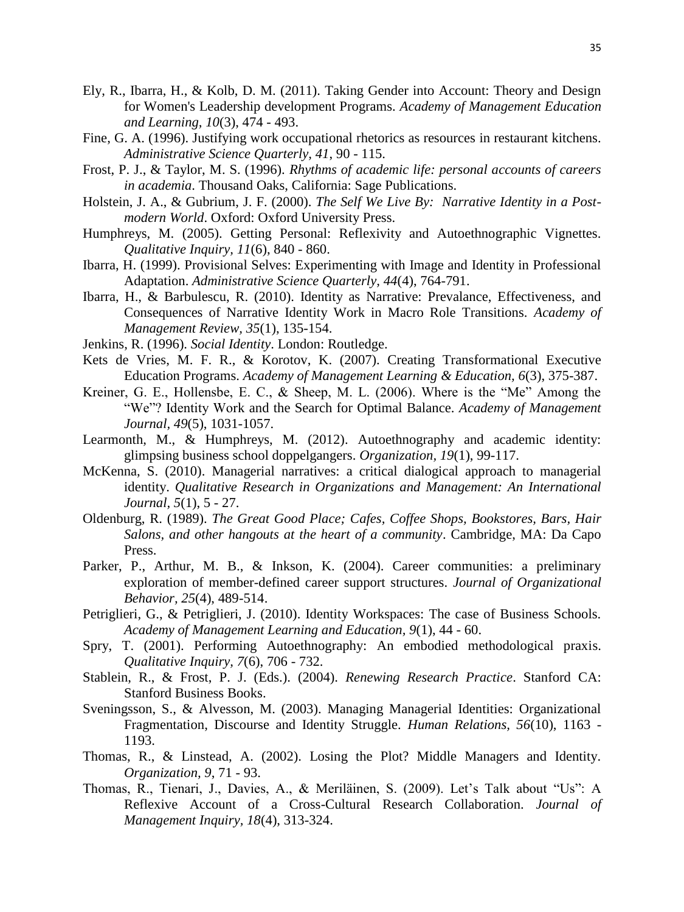- <span id="page-34-9"></span>Ely, R., Ibarra, H., & Kolb, D. M. (2011). Taking Gender into Account: Theory and Design for Women's Leadership development Programs. *Academy of Management Education and Learning, 10*(3), 474 - 493.
- <span id="page-34-10"></span>Fine, G. A. (1996). Justifying work occupational rhetorics as resources in restaurant kitchens. *Administrative Science Quarterly, 41*, 90 - 115.
- <span id="page-34-5"></span>Frost, P. J., & Taylor, M. S. (1996). *Rhythms of academic life: personal accounts of careers in academia*. Thousand Oaks, California: Sage Publications.
- <span id="page-34-12"></span>Holstein, J. A., & Gubrium, J. F. (2000). *The Self We Live By: Narrative Identity in a Postmodern World*. Oxford: Oxford University Press.
- <span id="page-34-15"></span>Humphreys, M. (2005). Getting Personal: Reflexivity and Autoethnographic Vignettes. *Qualitative Inquiry, 11*(6), 840 - 860.
- <span id="page-34-8"></span>Ibarra, H. (1999). Provisional Selves: Experimenting with Image and Identity in Professional Adaptation. *Administrative Science Quarterly, 44*(4), 764-791.
- <span id="page-34-0"></span>Ibarra, H., & Barbulescu, R. (2010). Identity as Narrative: Prevalance, Effectiveness, and Consequences of Narrative Identity Work in Macro Role Transitions. *Academy of Management Review, 35*(1), 135-154.
- <span id="page-34-7"></span>Jenkins, R. (1996). *Social Identity*. London: Routledge.
- <span id="page-34-18"></span>Kets de Vries, M. F. R., & Korotov, K. (2007). Creating Transformational Executive Education Programs. *Academy of Management Learning & Education, 6*(3), 375-387.
- <span id="page-34-3"></span>Kreiner, G. E., Hollensbe, E. C., & Sheep, M. L. (2006). Where is the "Me" Among the "We"? Identity Work and the Search for Optimal Balance. *Academy of Management Journal, 49*(5), 1031-1057.
- <span id="page-34-14"></span>Learmonth, M., & Humphreys, M. (2012). Autoethnography and academic identity: glimpsing business school doppelgangers. *Organization, 19*(1), 99-117.
- <span id="page-34-13"></span>McKenna, S. (2010). Managerial narratives: a critical dialogical approach to managerial identity. *Qualitative Research in Organizations and Management: An International Journal, 5*(1), 5 - 27.
- <span id="page-34-11"></span>Oldenburg, R. (1989). *The Great Good Place; Cafes, Coffee Shops, Bookstores, Bars, Hair Salons, and other hangouts at the heart of a community*. Cambridge, MA: Da Capo Press.
- <span id="page-34-19"></span>Parker, P., Arthur, M. B., & Inkson, K. (2004). Career communities: a preliminary exploration of member-defined career support structures. *Journal of Organizational Behavior, 25*(4), 489-514.
- <span id="page-34-2"></span>Petriglieri, G., & Petriglieri, J. (2010). Identity Workspaces: The case of Business Schools. *Academy of Management Learning and Education, 9*(1), 44 - 60.
- <span id="page-34-16"></span>Spry, T. (2001). Performing Autoethnography: An embodied methodological praxis. *Qualitative Inquiry, 7*(6), 706 - 732.
- <span id="page-34-6"></span>Stablein, R., & Frost, P. J. (Eds.). (2004). *Renewing Research Practice*. Stanford CA: Stanford Business Books.
- <span id="page-34-1"></span>Sveningsson, S., & Alvesson, M. (2003). Managing Managerial Identities: Organizational Fragmentation, Discourse and Identity Struggle. *Human Relations, 56*(10), 1163 - 1193.
- <span id="page-34-4"></span>Thomas, R., & Linstead, A. (2002). Losing the Plot? Middle Managers and Identity. *Organization, 9*, 71 - 93.
- <span id="page-34-17"></span>Thomas, R., Tienari, J., Davies, A., & Meriläinen, S. (2009). Let's Talk about "Us": A Reflexive Account of a Cross-Cultural Research Collaboration. *Journal of Management Inquiry, 18*(4), 313-324.